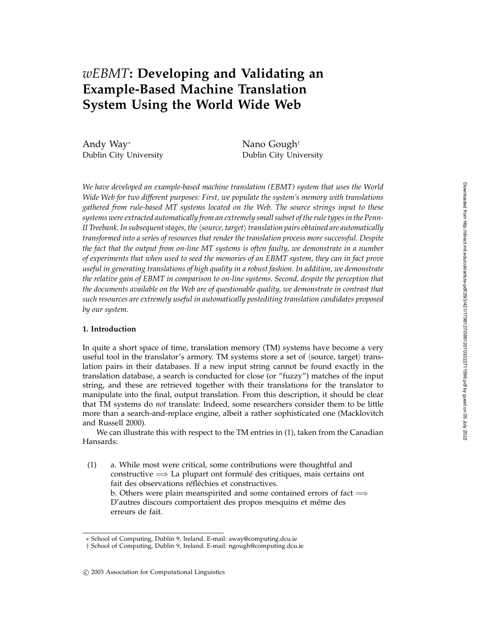# *wEBMT***: Developing and Validating an Example-Based Machine Translation System Using the World Wide Web**

Andy Way<sup>∗</sup> Nano Gough<sup>†</sup>

Dublin City University Dublin City University

*We have developed an example-based machine translation (EBMT) system that uses the World Wide Web for two different purposes: First, we populate the system's memory with translations gathered from rule-based MT systems located on the Web. The source strings input to these systems were extracted automatically from an extremely small subset of the rule types in the Penn-*II Treebank. In subsequent stages, the \source, target\ translation pairs obtained are automatically *transformed into a series of resources that render the translation process more successful. Despite the fact that the output from on-line MT systems is often faulty, we demonstrate in a number of experiments that when used to seed the memories of an EBMT system, they can in fact prove useful in generating translations of high quality in a robust fashion. In addition, we demonstrate the relative gain of EBMT in comparison to on-line systems. Second, despite the perception that the documents available on the Web are of questionable quality, we demonstrate in contrast that such resources are extremely useful in automatically postediting translation candidates proposed by our system.*

# **1. Introduction**

In quite a short space of time, translation memory (TM) systems have become a very useful tool in the translator's armory. TM systems store a set of  $\langle$ source, target $\rangle$  translation pairs in their databases. If a new input string cannot be found exactly in the translation database, a search is conducted for close (or "fuzzy") matches of the input string, and these are retrieved together with their translations for the translator to manipulate into the final, output translation. From this description, it should be clear that TM systems do *not* translate: Indeed, some researchers consider them to be little more than a search-and-replace engine, albeit a rather sophisticated one (Macklovitch and Russell 2000).

We can illustrate this with respect to the TM entries in (1), taken from the Canadian Hansards:

(1) a. While most were critical, some contributions were thoughtful and constructive  $\implies$  La plupart ont formulé des critiques, mais certains ont fait des observations réfléchies et constructives. b. Others were plain meanspirited and some contained errors of fact  $\Longrightarrow$ D'autres discours comportaient des propos mesquins et même des erreurs de fait.

<sup>∗</sup> School of Computing, Dublin 9, Ireland. E-mail: away@computing.dcu.ie

<sup>†</sup> School of Computing, Dublin 9, Ireland. E-mail: ngough@computing.dcu.ie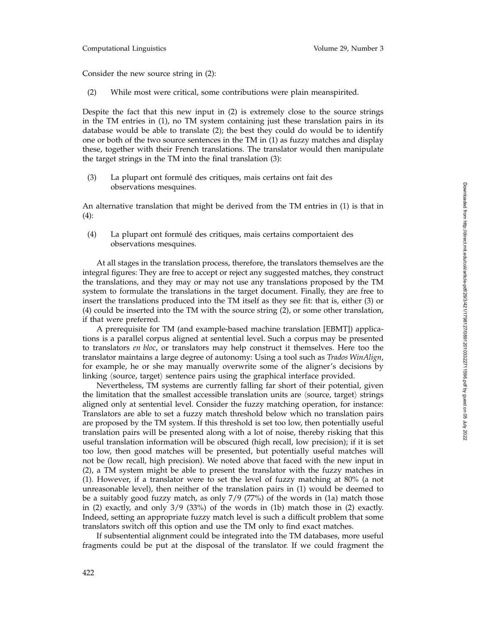Consider the new source string in (2):

(2) While most were critical, some contributions were plain meanspirited.

Despite the fact that this new input in (2) is extremely close to the source strings in the TM entries in (1), no TM system containing just these translation pairs in its database would be able to translate (2); the best they could do would be to identify one or both of the two source sentences in the TM in (1) as fuzzy matches and display these, together with their French translations. The translator would then manipulate the target strings in the TM into the final translation (3):

(3) La plupart ont formulé des critiques, mais certains ont fait des observations mesquines.

An alternative translation that might be derived from the TM entries in (1) is that in (4):

(4) La plupart ont formulé des critiques, mais certains comportaient des observations mesquines.

At all stages in the translation process, therefore, the translators themselves are the integral figures: They are free to accept or reject any suggested matches, they construct the translations, and they may or may not use any translations proposed by the TM system to formulate the translations in the target document. Finally, they are free to insert the translations produced into the TM itself as they see fit: that is, either (3) or (4) could be inserted into the TM with the source string (2), or some other translation, if that were preferred.

A prerequisite for TM (and example-based machine translation [EBMT]) applications is a parallel corpus aligned at sentential level. Such a corpus may be presented to translators *en bloc*, or translators may help construct it themselves. Here too the translator maintains a large degree of autonomy: Using a tool such as *Trados WinAlign* , for example, he or she may manually overwrite some of the aligner's decisions by linking (source, target) sentence pairs using the graphical interface provided.

Nevertheless, TM systems are currently falling far short of their potential, given the limitation that the smallest accessible translation units are  $\langle$ source, target $\rangle$  strings aligned only at sentential level. Consider the fuzzy matching operation, for instance: Translators are able to set a fuzzy match threshold below which no translation pairs are proposed by the TM system. If this threshold is set too low, then potentially useful translation pairs will be presented along with a lot of noise, thereby risking that this useful translation information will be obscured (high recall, low precision); if it is set too low, then good matches will be presented, but potentially useful matches will not be (low recall, high precision). We noted above that faced with the new input in (2), a TM system might be able to present the translator with the fuzzy matches in (1). However, if a translator were to set the level of fuzzy matching at 80% (a not unreasonable level), then neither of the translation pairs in (1) would be deemed to be a suitably good fuzzy match, as only 7/9 (77%) of the words in (1a) match those in (2) exactly, and only 3/9 (33%) of the words in (1b) match those in (2) exactly. Indeed, setting an appropriate fuzzy match level is such a difficult problem that some translators switch off this option and use the TM only to find exact matches.

If subsentential alignment could be integrated into the TM databases, more useful fragments could be put at the disposal of the translator. If we could fragment the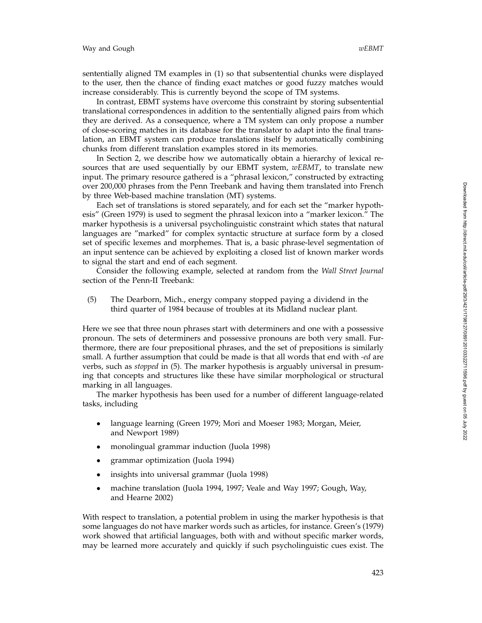sententially aligned TM examples in (1) so that subsentential chunks were displayed to the user, then the chance of finding exact matches or good fuzzy matches would increase considerably. This is currently beyond the scope of TM systems.

In contrast, EBMT systems have overcome this constraint by storing subsentential translational correspondences in addition to the sententially aligned pairs from which they are derived. As a consequence, where a TM system can only propose a number of close-scoring matches in its database for the translator to adapt into the final translation, an EBMT system can produce translations itself by automatically combining chunks from different translation examples stored in its memories.

In Section 2, we describe how we automatically obtain a hierarchy of lexical resources that are used sequentially by our EBMT system, *wEBMT*, to translate new input. The primary resource gathered is a "phrasal lexicon," constructed by extracting over 200,000 phrases from the Penn Treebank and having them translated into French by three Web-based machine translation (MT) systems.

Each set of translations is stored separately, and for each set the "marker hypothesis" (Green 1979) is used to segment the phrasal lexicon into a "marker lexicon." The marker hypothesis is a universal psycholinguistic constraint which states that natural languages are "marked" for complex syntactic structure at surface form by a closed set of specific lexemes and morphemes. That is, a basic phrase-level segmentation of an input sentence can be achieved by exploiting a closed list of known marker words to signal the start and end of each segment.

Consider the following example, selected at random from the *Wall Street Journal* section of the Penn-II Treebank:

(5) The Dearborn, Mich., energy company stopped paying a dividend in the third quarter of 1984 because of troubles at its Midland nuclear plant.

Here we see that three noun phrases start with determiners and one with a possessive pronoun. The sets of determiners and possessive pronouns are both very small. Furthermore, there are four prepositional phrases, and the set of prepositions is similarly small. A further assumption that could be made is that all words that end with *-ed* are verbs, such as *stopped* in (5). The marker hypothesis is arguably universal in presuming that concepts and structures like these have similar morphological or structural marking in all languages.

The marker hypothesis has been used for a number of different language-related tasks, including

- language learning (Green 1979; Mori and Moeser 1983; Morgan, Meier, and Newport 1989)
- monolingual grammar induction (Juola 1998)
- grammar optimization (Juola 1994)
- insights into universal grammar (Juola 1998)
- machine translation (Juola 1994, 1997; Veale and Way 1997; Gough, Way, and Hearne 2002)

With respect to translation, a potential problem in using the marker hypothesis is that some languages do not have marker words such as articles, for instance. Green's (1979) work showed that artificial languages, both with and without specific marker words, may be learned more accurately and quickly if such psycholinguistic cues exist. The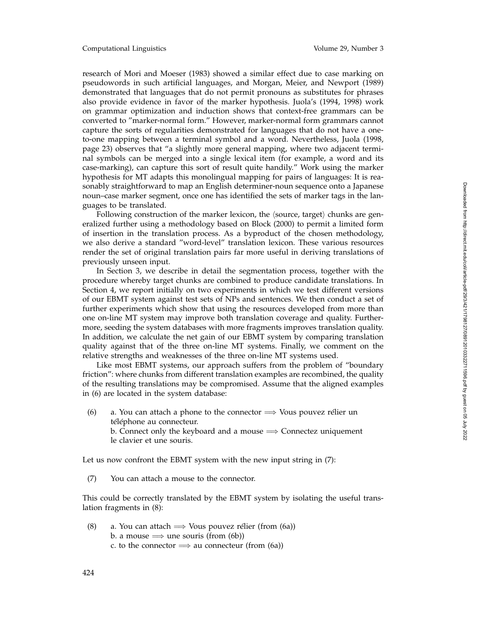research of Mori and Moeser (1983) showed a similar effect due to case marking on pseudowords in such artificial languages, and Morgan, Meier, and Newport (1989) demonstrated that languages that do not permit pronouns as substitutes for phrases also provide evidence in favor of the marker hypothesis. Juola's (1994, 1998) work on grammar optimization and induction shows that context-free grammars can be converted to "marker-normal form." However, marker-normal form grammars cannot capture the sorts of regularities demonstrated for languages that do not have a oneto-one mapping between a terminal symbol and a word. Nevertheless, Juola (1998, page 23) observes that "a slightly more general mapping, where two adjacent terminal symbols can be merged into a single lexical item (for example, a word and its case-marking), can capture this sort of result quite handily." Work using the marker hypothesis for MT adapts this monolingual mapping for pairs of languages: It is reasonably straightforward to map an English determiner-noun sequence onto a Japanese noun–case marker segment, once one has identified the sets of marker tags in the languages to be translated.

Following construction of the marker lexicon, the  $\langle$ source, target $\rangle$  chunks are generalized further using a methodology based on Block (2000) to permit a limited form of insertion in the translation process. As a byproduct of the chosen methodology, we also derive a standard "word-level" translation lexicon. These various resources render the set of original translation pairs far more useful in deriving translations of previously unseen input.

In Section 3, we describe in detail the segmentation process, together with the procedure whereby target chunks are combined to produce candidate translations. In Section 4, we report initially on two experiments in which we test different versions of our EBMT system against test sets of NPs and sentences. We then conduct a set of further experiments which show that using the resources developed from more than one on-line MT system may improve both translation coverage and quality. Furthermore, seeding the system databases with more fragments improves translation quality. In addition, we calculate the net gain of our EBMT system by comparing translation quality against that of the three on-line MT systems. Finally, we comment on the relative strengths and weaknesses of the three on-line MT systems used.

Like most EBMT systems, our approach suffers from the problem of "boundary friction": where chunks from different translation examples are recombined, the quality of the resulting translations may be compromised. Assume that the aligned examples in (6) are located in the system database:

(6) a. You can attach a phone to the connector  $\implies$  Vous pouvez rélier un téléphone au connecteur. b. Connect only the keyboard and a mouse  $\implies$  Connectez uniquement le clavier et une souris.

Let us now confront the EBMT system with the new input string in (7):

(7) You can attach a mouse to the connector.

This could be correctly translated by the EBMT system by isolating the useful translation fragments in (8):

(8) a. You can attach  $\implies$  Vous pouvez rélier (from (6a)) b. a mouse  $\implies$  une souris (from (6b)) c. to the connector  $\implies$  au connecteur (from (6a))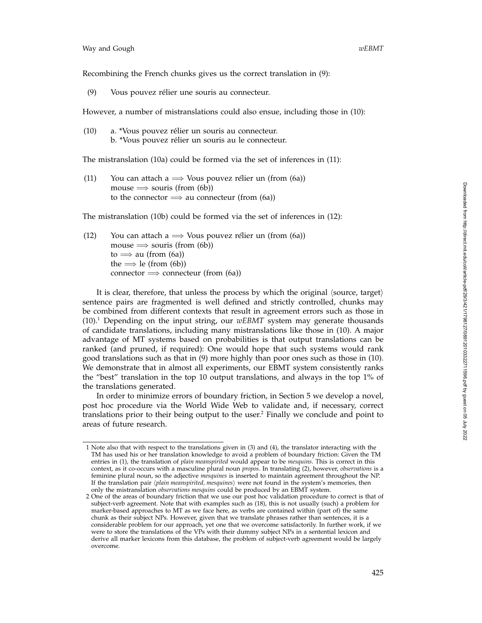Recombining the French chunks gives us the correct translation in (9):

(9) Vous pouvez rélier une souris au connecteur.

However, a number of mistranslations could also ensue, including those in (10):

(10) a. \*Vous pouvez rélier un souris au connecteur. b. \*Vous pouvez rélier un souris au le connecteur.

The mistranslation (10a) could be formed via the set of inferences in (11):

(11) You can attach a  $\implies$  Vous pouvez rélier un (from (6a))  $mouse \implies$  souris (from (6b)) to the connector  $\implies$  au connecteur (from (6a))

The mistranslation (10b) could be formed via the set of inferences in (12):

(12) You can attach a  $\implies$  Vous pouvez rélier un (from (6a)) mouse  $\implies$  souris (from (6b)) to  $\implies$  au (from (6a)) the  $\Longrightarrow$  le (from (6b)) connector  $\implies$  connecteur (from (6a))

It is clear, therefore, that unless the process by which the original  $\langle {\rm source,~target} \rangle$ sentence pairs are fragmented is well defined and strictly controlled, chunks may be combined from different contexts that result in agreement errors such as those in  $(10).$ <sup>1</sup> Depending on the input string, our *wEBMT* system may generate thousands of candidate translations, including many mistranslations like those in (10). A major advantage of MT systems based on probabilities is that output translations can be ranked (and pruned, if required): One would hope that such systems would rank good translations such as that in (9) more highly than poor ones such as those in (10). We demonstrate that in almost all experiments, our EBMT system consistently ranks the "best" translation in the top 10 output translations, and always in the top 1% of the translations generated.

In order to minimize errors of boundary friction, in Section 5 we develop a novel, post hoc procedure via the World Wide Web to validate and, if necessary, correct translations prior to their being output to the user.2 Finally we conclude and point to areas of future research.

<sup>1</sup> Note also that with respect to the translations given in (3) and (4), the translator interacting with the TM has used his or her translation knowledge to avoid a problem of boundary friction: Given the TM entries in (1), the translation of *plain meanspirited* would appear to be *mesquins*. This is correct in this context, as it co-occurs with a masculine plural noun *propos*. In translating (2), however, *observations* is a feminine plural noun, so the adjective *mesquines* is inserted to maintain agreement throughout the NP. If the translation pair */plain meanspirited, mesquines*/ were not found in the system's memories, then only the mistranslation *observations mesquins* could be produced by an EBMT system.

<sup>2</sup> One of the areas of boundary friction that we use our post hoc validation procedure to correct is that of subject-verb agreement. Note that with examples such as (18), this is not usually (such) a problem for marker-based approaches to MT as we face here, as verbs are contained within (part of) the same chunk as their subject NPs. However, given that we translate phrases rather than sentences, it is a considerable problem for our approach, yet one that we overcome satisfactorily. In further work, if we were to store the translations of the VPs with their dummy subject NPs in a sentential lexicon and derive all marker lexicons from this database, the problem of subject-verb agreement would be largely overcome.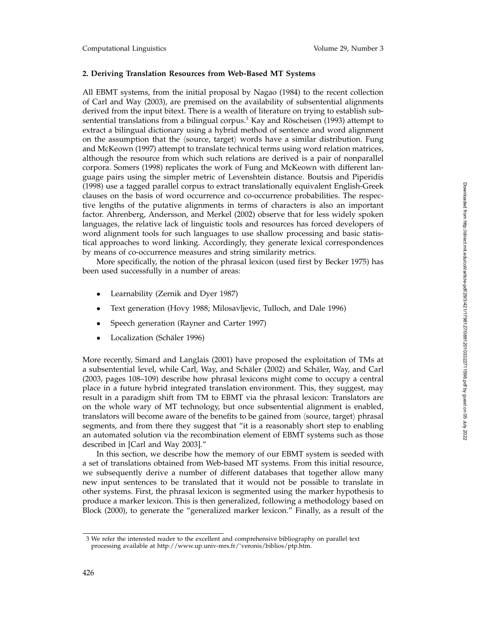Computational Linguistics Volume 29, Number 3

# **2. Deriving Translation Resources from Web-Based MT Systems**

All EBMT systems, from the initial proposal by Nagao (1984) to the recent collection of Carl and Way (2003), are premised on the availability of subsentential alignments derived from the input bitext. There is a wealth of literature on trying to establish subsentential translations from a bilingual corpus. $3$  Kay and Röscheisen (1993) attempt to extract a bilingual dictionary using a hybrid method of sentence and word alignment on the assumption that the  $\langle$ source, target $\rangle$  words have a similar distribution. Fung and McKeown (1997) attempt to translate technical terms using word relation matrices, although the resource from which such relations are derived is a pair of nonparallel corpora. Somers (1998) replicates the work of Fung and McKeown with different language pairs using the simpler metric of Levenshtein distance. Boutsis and Piperidis (1998) use a tagged parallel corpus to extract translationally equivalent English-Greek clauses on the basis of word occurrence and co-occurrence probabilities. The respective lengths of the putative alignments in terms of characters is also an important factor. Ahrenberg, Andersson, and Merkel (2002) observe that for less widely spoken languages, the relative lack of linguistic tools and resources has forced developers of word alignment tools for such languages to use shallow processing and basic statistical approaches to word linking. Accordingly, they generate lexical correspondences by means of co-occurrence measures and string similarity metrics.

More specifically, the notion of the phrasal lexicon (used first by Becker 1975) has been used successfully in a number of areas:

- Learnability (Zernik and Dyer 1987)
- Text generation (Hovy 1988; Milosavljevic, Tulloch, and Dale 1996)
- Speech generation (Rayner and Carter 1997)
- Localization (Schäler 1996)

More recently, Simard and Langlais (2001) have proposed the exploitation of TMs at a subsentential level, while Carl, Way, and Schäler (2002) and Schäler, Way, and Carl (2003, pages 108–109) describe how phrasal lexicons might come to occupy a central place in a future hybrid integrated translation environment. This, they suggest, may result in a paradigm shift from TM to EBMT via the phrasal lexicon: Translators are on the whole wary of MT technology, but once subsentential alignment is enabled, translators will become aware of the benefits to be gained from  $\langle$ source, target $\rangle$  phrasal segments, and from there they suggest that "it is a reasonably short step to enabling an automated solution via the recombination element of EBMT systems such as those described in [Carl and Way 2003]."

In this section, we describe how the memory of our EBMT system is seeded with a set of translations obtained from Web-based MT systems. From this initial resource, we subsequently derive a number of different databases that together allow many new input sentences to be translated that it would not be possible to translate in other systems. First, the phrasal lexicon is segmented using the marker hypothesis to produce a marker lexicon. This is then generalized, following a methodology based on Block (2000), to generate the "generalized marker lexicon." Finally, as a result of the

<sup>3</sup> We refer the interested reader to the excellent and comprehensive bibliography on parallel text processing available at http://www.up.univ-mrs.fr/˜veronis/biblios/ptp.htm.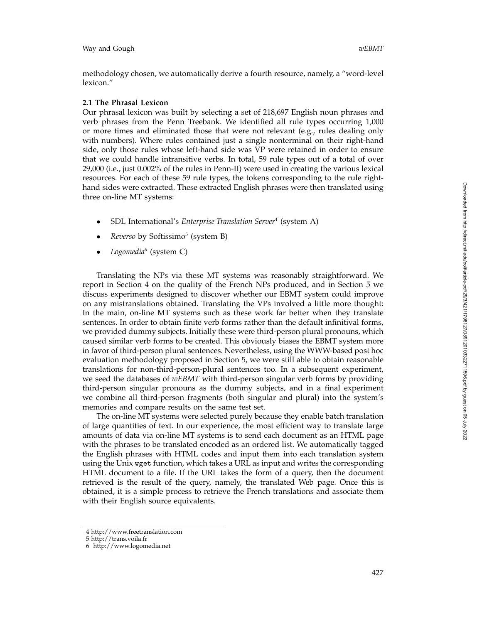methodology chosen, we automatically derive a fourth resource, namely, a "word-level lexicon."

## **2.1 The Phrasal Lexicon**

Our phrasal lexicon was built by selecting a set of 218,697 English noun phrases and verb phrases from the Penn Treebank. We identified all rule types occurring 1,000 or more times and eliminated those that were not relevant (e.g., rules dealing only with numbers). Where rules contained just a single nonterminal on their right-hand side, only those rules whose left-hand side was VP were retained in order to ensure that we could handle intransitive verbs. In total, 59 rule types out of a total of over 29,000 (i.e., just 0.002% of the rules in Penn-II) were used in creating the various lexical resources. For each of these 59 rule types, the tokens corresponding to the rule righthand sides were extracted. These extracted English phrases were then translated using three on-line MT systems:

- SDL International's *Enterprise Translation Server<sup>4</sup>* (system A)
- *Reverso* by Softissimo <sup>5</sup> (system B)
- *Logomedia* <sup>6</sup> (system C)

Translating the NPs via these MT systems was reasonably straightforward. We report in Section 4 on the quality of the French NPs produced, and in Section 5 we discuss experiments designed to discover whether our EBMT system could improve on any mistranslations obtained. Translating the VPs involved a little more thought: In the main, on-line MT systems such as these work far better when they translate sentences. In order to obtain finite verb forms rather than the default infinitival forms, we provided dummy subjects. Initially these were third-person plural pronouns, which caused similar verb forms to be created. This obviously biases the EBMT system more in favor of third-person plural sentences. Nevertheless, using the WWW-based post hoc evaluation methodology proposed in Section 5, we were still able to obtain reasonable translations for non-third-person-plural sentences too. In a subsequent experiment, we seed the databases of *wEBMT* with third-person singular verb forms by providing third-person singular pronouns as the dummy subjects, and in a final experiment we combine all third-person fragments (both singular and plural) into the system's memories and compare results on the same test set.

The on-line MT systems were selected purely because they enable batch translation of large quantities of text. In our experience, the most efficient way to translate large amounts of data via on-line MT systems is to send each document as an HTML page with the phrases to be translated encoded as an ordered list. We automatically tagged the English phrases with HTML codes and input them into each translation system using the Unix wget function, which takes a URL as input and writes the corresponding HTML document to a file. If the URL takes the form of a query, then the document retrieved is the result of the query, namely, the translated Web page. Once this is obtained, it is a simple process to retrieve the French translations and associate them with their English source equivalents.

<sup>4</sup> http://www.freetranslation.com

<sup>5</sup> http://trans.voila.fr

<sup>6</sup> http://www.logomedia.net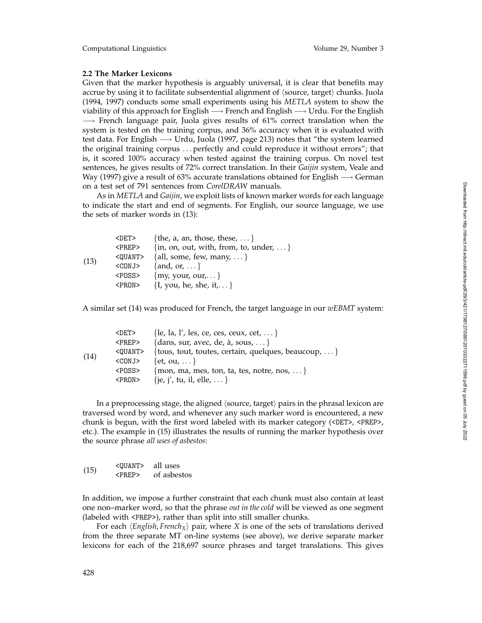Computational Linguistics Volume 29, Number 3

## **2.2 The Marker Lexicons**

Given that the marker hypothesis is arguably universal, it is clear that benefits may accrue by using it to facilitate subsentential alignment of (source, target) chunks. Juola (1994, 1997) conducts some small experiments using his *METLA* system to show the viability of this approach for English  $\longrightarrow$  French and English  $\longrightarrow$  Urdu. For the English  $\rightarrow$  French language pair, Juola gives results of 61% correct translation when the system is tested on the training corpus, and 36% accuracy when it is evaluated with test data. For English → Urdu, Juola (1997, page 213) notes that "the system learned the original training corpus ... perfectly and could reproduce it without errors"; that is, it scored 100% accuracy when tested against the training corpus. On novel test sentences, he gives results of 72% correct translation. In their *Gaijin* system, Veale and Way (1997) give a result of 63% accurate translations obtained for English  $\rightarrow$  German on a test set of 791 sentences from *CorelDRAW* manuals.

As in *METLA* and *Gaijin*, we exploit lists of known marker words for each language to indicate the start and end of segments. For English, our source language, we use the sets of marker words in (13):

| (13) | <det></det>     | {the, a, an, those, these,  }               |
|------|-----------------|---------------------------------------------|
|      | <prep></prep>   | $\{in, on, out, with, from, to, under,  \}$ |
|      | <quant></quant> | {all, some, few, many,  }                   |
|      | <conj></conj>   | $\{and, or, \}$                             |
|      | <poss></poss>   | $\{my, your, our, \}$                       |
|      | <pron></pron>   | $\{I, you, he, she, it, \dots\}$            |

A similar set (14) was produced for French, the target language in our *wEBMT* system:

| (14) | $\langle$ DET>  | $\{$ le, la, l', les, ce, ces, ceux, cet, $\}$       |
|------|-----------------|------------------------------------------------------|
|      | $\langle$ PREP> | {dans, sur, avec, de, $\alpha$ , sous, }             |
|      | <quant></quant> | {tous, tout, toutes, certain, quelques, beaucoup,  } |
|      | $<$ CONJ $>$    | $\{et, ou, \dots\}$                                  |
|      | <poss></poss>   | $\{$ mon, ma, mes, ton, ta, tes, notre, nos, $\}$    |
|      | $<$ PRON $>$    | {je, j', tu, il, elle,  }                            |

In a preprocessing stage, the aligned  $\langle$ source, target $\rangle$  pairs in the phrasal lexicon are traversed word by word, and whenever any such marker word is encountered, a new chunk is begun, with the first word labeled with its marker category (<DET>, <PREP>, etc.). The example in (15) illustrates the results of running the marker hypothesis over the source phrase *all uses of asbestos* :

| (15) | $<$ OUANT $>$      | all uses    |
|------|--------------------|-------------|
|      | $\langle$ PRFP $>$ | of asbestos |

In addition, we impose a further constraint that each chunk must also contain at least one non–marker word, so that the phrase *out in the cold* will be viewed as one segment (labeled with <PREP>), rather than split into still smaller chunks.

For each  $\langle$ *English, French*<sub>X</sub> $\rangle$  pair, where *X* is one of the sets of translations derived from the three separate MT on-line systems (see above), we derive separate marker lexicons for each of the 218,697 source phrases and target translations. This gives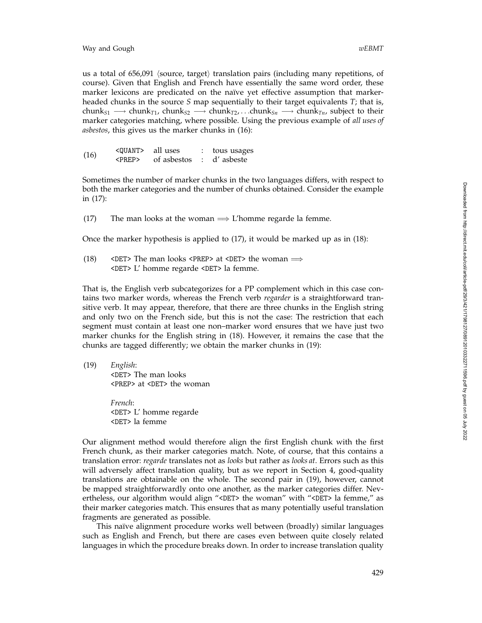us a total of 656,091 (source, target) translation pairs (including many repetitions, of course). Given that English and French have essentially the same word order, these marker lexicons are predicated on the naïve yet effective assumption that markerheaded chunks in the source *S* map sequentially to their target equivalents *T*; that is,  $\text{chunk}_{S1} \longrightarrow \text{chunk}_{T1}$ ,  $\text{chunk}_{S2} \longrightarrow \text{chunk}_{T2}$ , . . . $\text{chunk}_{Sn} \longrightarrow \text{chunk}_{Tn}$ , subject to their marker categories matching, where possible. Using the previous example of *all uses of asbestos*, this gives us the marker chunks in (16):

(16) < QUANT> all uses : tous usages<br>  $\angle$  cPREP> of asbestos : d'asbeste of asbestos

Sometimes the number of marker chunks in the two languages differs, with respect to both the marker categories and the number of chunks obtained. Consider the example in (17):

(17) The man looks at the woman  $\Longrightarrow$  L'homme regarde la femme.

Once the marker hypothesis is applied to (17), it would be marked up as in (18):

(18)  $\leq$   $\leq$   $\geq$   $\leq$   $\leq$   $\leq$   $\leq$   $\leq$   $\leq$   $\leq$   $\leq$   $\leq$   $\leq$   $\leq$   $\leq$   $\leq$   $\leq$   $\leq$   $\leq$   $\leq$   $\leq$   $\leq$   $\leq$   $\leq$   $\leq$   $\leq$   $\leq$   $\leq$   $\leq$   $\leq$   $\leq$   $\leq$   $\leq$   $\leq$   $\leq$   $\leq$  <DET> L' homme regarde <DET> la femme.

That is, the English verb subcategorizes for a PP complement which in this case contains two marker words, whereas the French verb *regarder* is a straightforward transitive verb. It may appear, therefore, that there are three chunks in the English string and only two on the French side, but this is not the case: The restriction that each segment must contain at least one non–marker word ensures that we have just two marker chunks for the English string in (18). However, it remains the case that the chunks are tagged differently; we obtain the marker chunks in (19):

(19) *English* :

<DET> The man looks <PREP> at <DET> the woman

*French* : <DET> L' homme regarde <DET> la femme

Our alignment method would therefore align the first English chunk with the first French chunk, as their marker categories match. Note, of course, that this contains a translation error: *regarde* translates not as *looks* but rather as *looks at*. Errors such as this will adversely affect translation quality, but as we report in Section 4, good-quality translations are obtainable on the whole. The second pair in (19), however, cannot be mapped straightforwardly onto one another, as the marker categories differ. Nevertheless, our algorithm would align "<DET> the woman" with "<DET> la femme," as their marker categories match. This ensures that as many potentially useful translation fragments are generated as possible.

This naïve alignment procedure works well between (broadly) similar languages such as English and French, but there are cases even between quite closely related languages in which the procedure breaks down. In order to increase translation quality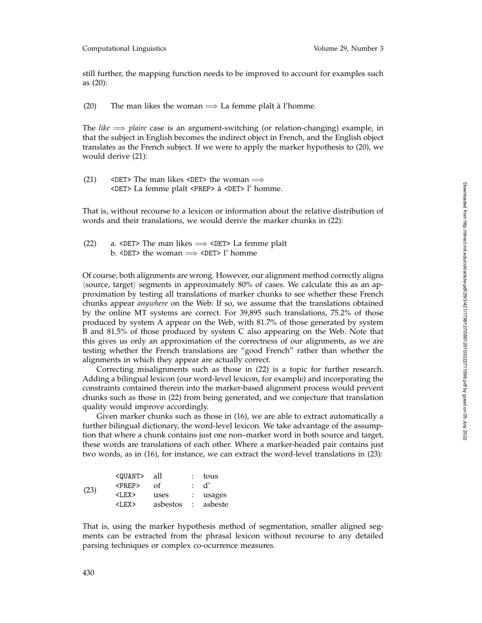still further, the mapping function needs to be improved to account for examples such as (20):

(20) The man likes the woman  $\implies$  La femme plaît à l'homme.

The *like*  $\implies$  *plaire* case is an argument-switching (or relation-changing) example, in that the subject in English becomes the indirect object in French, and the English object translates as the French subject. If we were to apply the marker hypothesis to (20), we would derive (21):

(21) <DET> The man likes <DET> the woman  $\implies$ <DET> La femme plaˆıt <PREP> a` <DET> l' homme.

That is, without recourse to a lexicon or information about the relative distribution of words and their translations, we would derive the marker chunks in (22):

(22) a. <DET> The man likes  $\implies$  <DET> La femme plaît b. <DET> the woman  $\implies$  <DET> l' homme

Of course, both alignments are wrong. However, our alignment method correctly aligns  $\langle$ source, target $\rangle$  segments in approximately 80% of cases. We calculate this as an approximation by testing all translations of marker chunks to see whether these French chunks appear *anywhere* on the Web: If so, we assume that the translations obtained by the online MT systems are correct. For 39,895 such translations, 75.2% of those produced by system A appear on the Web, with 81.7% of those generated by system B and 81.5% of those produced by system C also appearing on the Web. Note that this gives us only an approximation of the correctness of our alignments, as we are testing whether the French translations are "good French" rather than whether the alignments in which they appear are actually correct.

Correcting misalignments such as those in (22) is a topic for further research. Adding a bilingual lexicon (our word-level lexicon, for example) and incorporating the constraints contained therein into the marker-based alignment process would prevent chunks such as those in (22) from being generated, and we conjecture that translation quality would improve accordingly.

Given marker chunks such as those in (16), we are able to extract automatically a further bilingual dictionary, the word-level lexicon. We take advantage of the assumption that where a chunk contains just one non–marker word in both source and target, these words are translations of each other. Where a marker-headed pair contains just two words, as in (16), for instance, we can extract the word-level translations in (23):

|      | <quant></quant> | all                | : tous   |
|------|-----------------|--------------------|----------|
| (23) | $\langle$ PREP> | Ωf                 | : d'     |
|      | $<$ LEX $>$     | uses               | : usages |
|      | $<$ LEX $>$     | asbestos : asbeste |          |

That is, using the marker hypothesis method of segmentation, smaller aligned segments can be extracted from the phrasal lexicon without recourse to any detailed parsing techniques or complex co-ocurrence measures.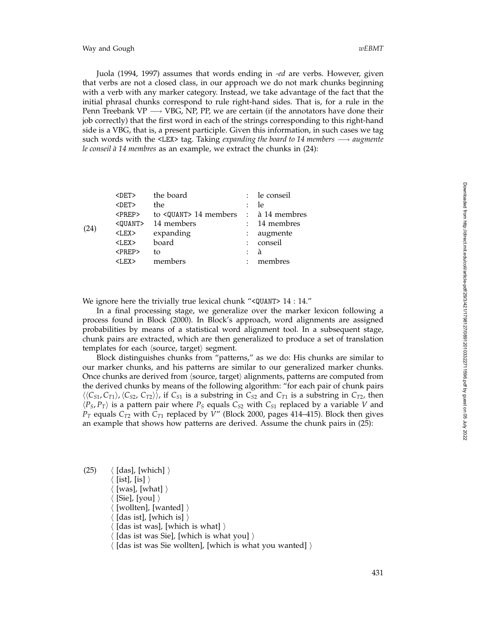Way and Gough *wEBMT*

Juola (1994, 1997) assumes that words ending in *-ed* are verbs. However, given that verbs are not a closed class, in our approach we do not mark chunks beginning with a verb with any marker category. Instead, we take advantage of the fact that the initial phrasal chunks correspond to rule right-hand sides. That is, for a rule in the Penn Treebank VP  $\longrightarrow$  VBG, NP, PP, we are certain (if the annotators have done their job correctly) that the first word in each of the strings corresponding to this right-hand side is a VBG, that is, a present participle. Given this information, in such cases we tag such words with the <LEX> tag. Taking *expanding the board to 14 members* −→ *augmente le conseil `a 14 membres* as an example, we extract the chunks in (24):

|      | $\langle$ DET> | the board                                     |                      | : le conseil |
|------|----------------|-----------------------------------------------|----------------------|--------------|
|      | $<$ DET $>$    | the                                           | $\ddot{\cdot}$       | -le          |
|      | $<$ PREP $>$   | to $\langle$ QUANT> 14 members : à 14 membres |                      |              |
|      | $<$ QUANT $>$  | 14 members                                    | $\mathcal{L}$        | 14 membres   |
| (24) | $<$ LEX $>$    | expanding                                     |                      | augmente     |
|      | $<$ LEX $>$    | board                                         | $\ddot{\phantom{a}}$ | conseil      |
|      | $<$ PREP $>$   | tο                                            | $\ddot{\phantom{a}}$ | à            |
|      | $<$ LEX $>$    | members                                       | $\ddot{\phantom{a}}$ | membres      |
|      |                |                                               |                      |              |

We ignore here the trivially true lexical chunk "<QUANT> 14 : 14."

In a final processing stage, we generalize over the marker lexicon following a process found in Block (2000). In Block's approach, word alignments are assigned probabilities by means of a statistical word alignment tool. In a subsequent stage, chunk pairs are extracted, which are then generalized to produce a set of translation templates for each  $\langle$ source, target $\rangle$  segment.

Block distinguishes chunks from "patterns," as we do: His chunks are similar to our marker chunks, and his patterns are similar to our generalized marker chunks. Once chunks are derived from  $\langle$ source, target $\rangle$  alignments, patterns are computed from the derived chunks by means of the following algorithm: "for each pair of chunk pairs  $\langle\langle C_{S1}, C_{T1}\rangle, \langle C_{S2}, C_{T2}\rangle\rangle$ , if  $C_{S1}$  is a substring in  $C_{S2}$  and  $C_{T1}$  is a substring in  $C_{T2}$ , then  $\langle P_S, P_T \rangle$  is a pattern pair where  $P_S$  equals  $C_{S2}$  with  $C_{S1}$  replaced by a variable *V* and *PT* equals *CT*<sup>2</sup> with *CT*<sup>1</sup> replaced by *V*" (Block 2000, pages 414–415). Block then gives an example that shows how patterns are derived. Assume the chunk pairs in (25):

(25)  $\langle$  [das], [which]  $\rangle$  $\langle$  [ist], [is]  $\rangle$  $\langle$  [was], [what]  $\rangle$  $\langle$  [Sie], [you]  $\rangle$  $\langle$  [wollten], [wanted]  $\rangle$  $\langle$  [das ist], [which is]  $\rangle$  $\langle$  [das ist was], [which is what]  $\rangle$  $\langle$  [das ist was Sie], [which is what you]  $\rangle$  $\langle$  [das ist was Sie wollten], [which is what you wanted]  $\rangle$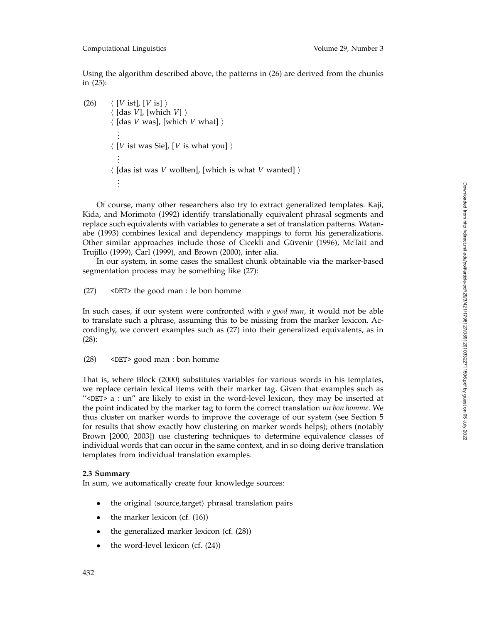Using the algorithm described above, the patterns in (26) are derived from the chunks in (25):

```
(26) \langle [V ist], [V is] \rangle\langle [das V], [which V] \rangle\langle [das V was], [which V what] \rangle.
             .
             .
           \langle [V ist was Sie], [V is what you] \rangle.
             .
             .
           \langle [das ist was V wollten], [which is what V wanted] \rangle.
.
.
```
Of course, many other researchers also try to extract generalized templates. Kaji, Kida, and Morimoto (1992) identify translationally equivalent phrasal segments and replace such equivalents with variables to generate a set of translation patterns. Watanabe (1993) combines lexical and dependency mappings to form his generalizations. Other similar approaches include those of Cicekli and Güvenir (1996), McTait and Trujillo (1999), Carl (1999), and Brown (2000), inter alia.

In our system, in some cases the smallest chunk obtainable via the marker-based segmentation process may be something like (27):

(27) <DET> the good man : le bon homme

In such cases, if our system were confronted with *a good man*, it would not be able to translate such a phrase, assuming this to be missing from the marker lexicon. Accordingly, we convert examples such as (27) into their generalized equivalents, as in (28):

(28) <DET> good man : bon homme

That is, where Block (2000) substitutes variables for various words in his templates, we replace certain lexical items with their marker tag. Given that examples such as  $\degree$  <DET> a : un $\degree$  are likely to exist in the word-level lexicon, they may be inserted at the point indicated by the marker tag to form the correct translation *un bon homme*. We thus cluster on marker words to improve the coverage of our system (see Section 5 for results that show exactly how clustering on marker words helps); others (notably Brown [2000, 2003]) use clustering techniques to determine equivalence classes of individual words that can occur in the same context, and in so doing derive translation templates from individual translation examples.

# **2.3 Summary**

In sum, we automatically create four knowledge sources:

- the original  $\langle$ source,target $\rangle$  phrasal translation pairs
- the marker lexicon (cf.  $(16)$ )
- the generalized marker lexicon (cf.  $(28)$ )
- the word-level lexicon (cf.  $(24)$ )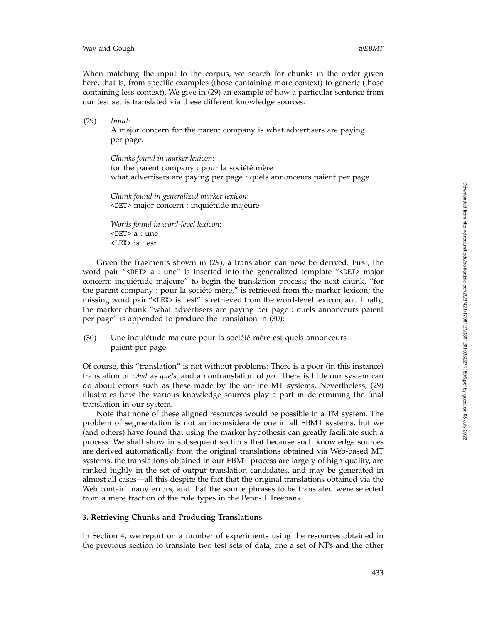When matching the input to the corpus, we search for chunks in the order given here, that is, from specific examples (those containing more context) to generic (those containing less context). We give in (29) an example of how a particular sentence from our test set is translated via these different knowledge sources:

(29) *Input* : A major concern for the parent company is what advertisers are paying per page.

*Chunks found in marker lexicon* : for the parent company : pour la société mère what advertisers are paying per page : quels annonceurs paient per page

*Chunk found in generalized marker lexicon* : <DET> major concern : inquiétude majeure

*Words found in word-level lexicon* : <DET> a : une <LEX> is : est

Given the fragments shown in (29), a translation can now be derived. First, the word pair "<DET> a : une" is inserted into the generalized template "<DET> major concern: inquiétude majeure" to begin the translation process; the next chunk, "for the parent company : pour la société mère," is retrieved from the marker lexicon; the missing word pair "<LEX> is : est" is retrieved from the word-level lexicon; and finally, the marker chunk "what advertisers are paying per page : quels annonceurs paient per page" is appended to produce the translation in (30):

(30) Une inquiétude majeure pour la société mère est quels annonceurs paient per page.

Of course, this "translation" is not without problems: There is a poor (in this instance) translation of *what* as *quels*, and a nontranslation of *per*. There is little our system can do about errors such as these made by the on-line MT systems. Nevertheless, (29) illustrates how the various knowledge sources play a part in determining the final translation in our system.

Note that none of these aligned resources would be possible in a TM system. The problem of segmentation is not an inconsiderable one in all EBMT systems, but we (and others) have found that using the marker hypothesis can greatly facilitate such a process. We shall show in subsequent sections that because such knowledge sources are derived automatically from the original translations obtained via Web-based MT systems, the translations obtained in our EBMT process are largely of high quality, are ranked highly in the set of output translation candidates, and may be generated in almost all cases—all this despite the fact that the original translations obtained via the Web contain many errors, and that the source phrases to be translated were selected from a mere fraction of the rule types in the Penn-II Treebank.

# **3. Retrieving Chunks and Producing Translations**

In Section 4, we report on a number of experiments using the resources obtained in the previous section to translate two test sets of data, one a set of NPs and the other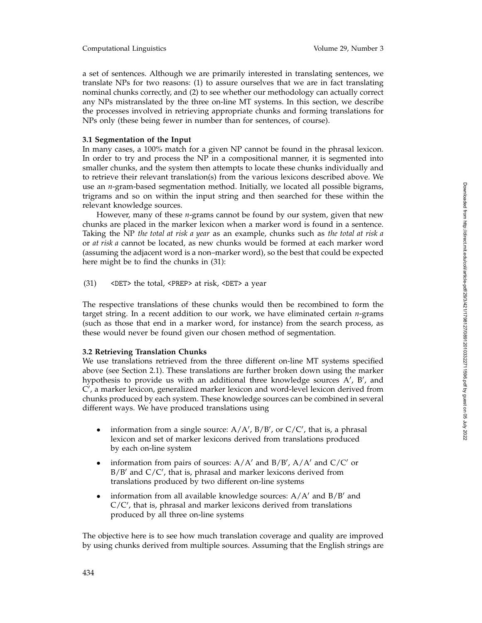a set of sentences. Although we are primarily interested in translating sentences, we translate NPs for two reasons: (1) to assure ourselves that we are in fact translating nominal chunks correctly, and (2) to see whether our methodology can actually correct any NPs mistranslated by the three on-line MT systems. In this section, we describe the processes involved in retrieving appropriate chunks and forming translations for NPs only (these being fewer in number than for sentences, of course).

## **3.1 Segmentation of the Input**

In many cases, a 100% match for a given NP cannot be found in the phrasal lexicon. In order to try and process the NP in a compositional manner, it is segmented into smaller chunks, and the system then attempts to locate these chunks individually and to retrieve their relevant translation(s) from the various lexicons described above. We use an *n*-gram-based segmentation method. Initially, we located all possible bigrams, trigrams and so on within the input string and then searched for these within the relevant knowledge sources.

However, many of these *n*-grams cannot be found by our system, given that new chunks are placed in the marker lexicon when a marker word is found in a sentence. Taking the NP *the total at risk a year* as an example, chunks such as *the total at risk a* or *at risk a* cannot be located, as new chunks would be formed at each marker word (assuming the adjacent word is a non–marker word), so the best that could be expected here might be to find the chunks in (31):

(31) <DET> the total, <PREP> at risk, <DET> a year

The respective translations of these chunks would then be recombined to form the target string. In a recent addition to our work, we have eliminated certain *n*-grams (such as those that end in a marker word, for instance) from the search process, as these would never be found given our chosen method of segmentation.

#### **3.2 Retrieving Translation Chunks**

We use translations retrieved from the three different on-line MT systems specified above (see Section 2.1). These translations are further broken down using the marker hypothesis to provide us with an additional three knowledge sources  $A'$ ,  $B'$ , and C , a marker lexicon, generalized marker lexicon and word-level lexicon derived from chunks produced by each system. These knowledge sources can be combined in several different ways. We have produced translations using

- information from a single source:  $A/A'$ ,  $B/B'$ , or  $C/C'$ , that is, a phrasal lexicon and set of marker lexicons derived from translations produced by each on-line system
- information from pairs of sources:  $A/A'$  and  $B/B'$ ,  $A/A'$  and  $C/C'$  or B/B and C/C , that is, phrasal and marker lexicons derived from translations produced by two different on-line systems
- information from all available knowledge sources:  $A/A'$  and  $B/B'$  and C/C , that is, phrasal and marker lexicons derived from translations produced by all three on-line systems

The objective here is to see how much translation coverage and quality are improved by using chunks derived from multiple sources. Assuming that the English strings are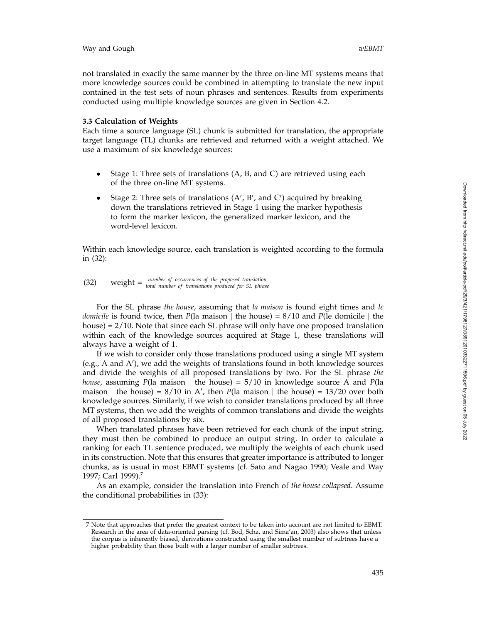not translated in exactly the same manner by the three on-line MT systems means that more knowledge sources could be combined in attempting to translate the new input contained in the test sets of noun phrases and sentences. Results from experiments conducted using multiple knowledge sources are given in Section 4.2.

## **3.3 Calculation of Weights**

Each time a source language (SL) chunk is submitted for translation, the appropriate target language (TL) chunks are retrieved and returned with a weight attached. We use a maximum of six knowledge sources:

- Stage 1: Three sets of translations (A, B, and C) are retrieved using each of the three on-line MT systems.
- Stage 2: Three sets of translations  $(A', B', and C')$  acquired by breaking down the translations retrieved in Stage 1 using the marker hypothesis to form the marker lexicon, the generalized marker lexicon, and the word-level lexicon.

Within each knowledge source, each translation is weighted according to the formula in (32):

(32) weight = 
$$
\frac{number\ of\ occurrences\ of\ the\ proposed\ translation}{total\ number\ of\ translations\ produced\ for\ SL\ phrase}
$$

For the SL phrase *the house*, assuming that *la maison* is found eight times and *le domicile* is found twice, then *P*(la maison | the house) = 8/10 and *P*(le domicile | the house) = 2/10. Note that since each SL phrase will only have one proposed translation within each of the knowledge sources acquired at Stage 1, these translations will always have a weight of 1.

If we wish to consider only those translations produced using a single MT system (e.g., A and A ), we add the weights of translations found in both knowledge sources and divide the weights of all proposed translations by two. For the SL phrase *the house*, assuming *P*(la maison | the house) =  $5/10$  in knowledge source A and *P*(la maison | the house) =  $8/10$  in A', then  $P$ (la maison | the house) =  $13/20$  over both knowledge sources. Similarly, if we wish to consider translations produced by all three MT systems, then we add the weights of common translations and divide the weights of all proposed translations by six.

When translated phrases have been retrieved for each chunk of the input string, they must then be combined to produce an output string. In order to calculate a ranking for each TL sentence produced, we multiply the weights of each chunk used in its construction. Note that this ensures that greater importance is attributed to longer chunks, as is usual in most EBMT systems (cf. Sato and Nagao 1990; Veale and Way 1997; Carl 1999).7

As an example, consider the translation into French of *the house collapsed*. Assume the conditional probabilities in (33):

<sup>7</sup> Note that approaches that prefer the greatest context to be taken into account are not limited to EBMT. Research in the area of data-oriented parsing (cf. Bod, Scha, and Sima'an, 2003) also shows that unless the corpus is inherently biased, derivations constructed using the smallest number of subtrees have a higher probability than those built with a larger number of smaller subtrees.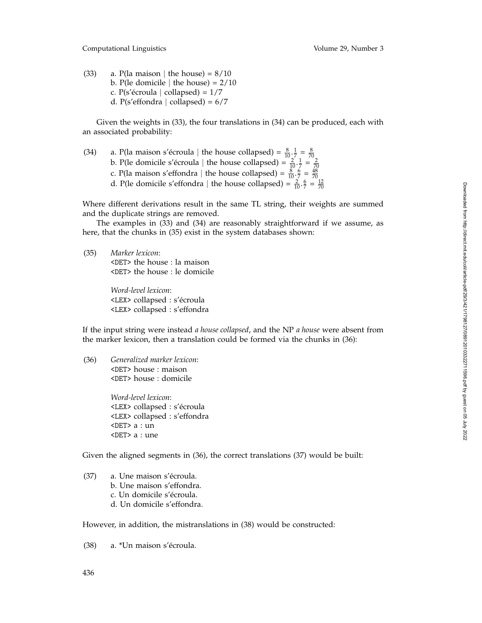Computational Linguistics Volume 29, Number 3

(33) a. P(la maison | the house) =  $8/10$ b. P(le domicile | the house) =  $2/10$ c. P(s'écroula | collapsed) =  $1/7$ d. P(s'effondra | collapsed) =  $6/7$ 

Given the weights in (33), the four translations in (34) can be produced, each with an associated probability:

(34) a. P(la maison s'écroula | the house collapsed) =  $\frac{8}{10} \cdot \frac{1}{7} = \frac{8}{70}$ <br>b. P(le domicile s'écroula | the house collapsed) =  $\frac{2}{10} \cdot \frac{1}{7} = \frac{2}{70}$ <br>c. P(la maison s'effondra | the house collapsed) =  $\frac{8$ 

Where different derivations result in the same TL string, their weights are summed and the duplicate strings are removed.

The examples in (33) and (34) are reasonably straightforward if we assume, as here, that the chunks in (35) exist in the system databases shown:

(35) *Marker lexicon*: <DET> the house : la maison <DET> the house : le domicile

> *Word-level lexicon*: <LEX> collapsed : s'écroula <LEX> collapsed : s'effondra

If the input string were instead *a house collapsed*, and the NP *a house* were absent from the marker lexicon, then a translation could be formed via the chunks in (36):

(36) *Generalized marker lexicon*: <DET> house : maison <DET> house : domicile

> *Word-level lexicon*: <LEX> collapsed : s'écroula <LEX> collapsed : s'effondra <DET> a : un <DET> a : une

Given the aligned segments in (36), the correct translations (37) would be built:

 $(37)$  a. Une maison s'écroula. b. Une maison s'effondra. c. Un domicile s'écroula. d. Un domicile s'effondra.

However, in addition, the mistranslations in (38) would be constructed:

 $(38)$  a. \*Un maison s'écroula.

436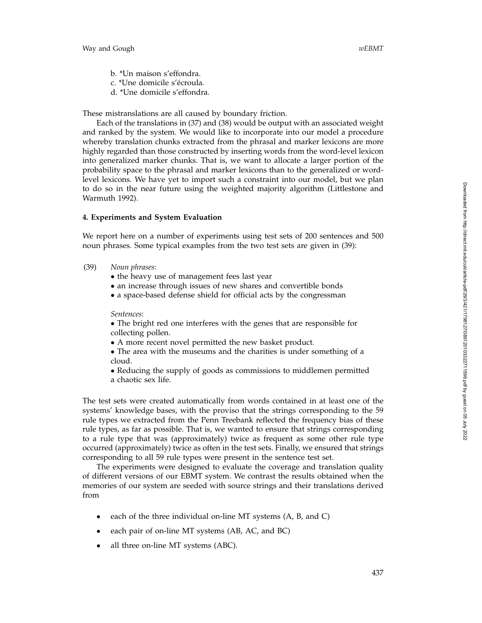- b. \*Un maison s'effondra.
- c. \*Une domicile s'écroula.
- d. \*Une domicile s'effondra.

These mistranslations are all caused by boundary friction.

Each of the translations in (37) and (38) would be output with an associated weight and ranked by the system. We would like to incorporate into our model a procedure whereby translation chunks extracted from the phrasal and marker lexicons are more highly regarded than those constructed by inserting words from the word-level lexicon into generalized marker chunks. That is, we want to allocate a larger portion of the probability space to the phrasal and marker lexicons than to the generalized or wordlevel lexicons. We have yet to import such a constraint into our model, but we plan to do so in the near future using the weighted majority algorithm (Littlestone and Warmuth 1992).

## **4. Experiments and System Evaluation**

We report here on a number of experiments using test sets of 200 sentences and 500 noun phrases. Some typical examples from the two test sets are given in (39):

- (39) *Noun phrases*:
	- the heavy use of management fees last year
	- an increase through issues of new shares and convertible bonds
	- a space-based defense shield for official acts by the congressman

#### *Sentences*:

• The bright red one interferes with the genes that are responsible for collecting pollen.

• A more recent novel permitted the new basket product.

• The area with the museums and the charities is under something of a cloud.

• Reducing the supply of goods as commissions to middlemen permitted a chaotic sex life.

The test sets were created automatically from words contained in at least one of the systems' knowledge bases, with the proviso that the strings corresponding to the 59 rule types we extracted from the Penn Treebank reflected the frequency bias of these rule types, as far as possible. That is, we wanted to ensure that strings corresponding to a rule type that was (approximately) twice as frequent as some other rule type occurred (approximately) twice as often in the test sets. Finally, we ensured that strings corresponding to all 59 rule types were present in the sentence test set.

The experiments were designed to evaluate the coverage and translation quality of different versions of our EBMT system. We contrast the results obtained when the memories of our system are seeded with source strings and their translations derived from

- each of the three individual on-line MT systems (A, B, and C)
- each pair of on-line MT systems (AB, AC, and BC)
- all three on-line MT systems (ABC).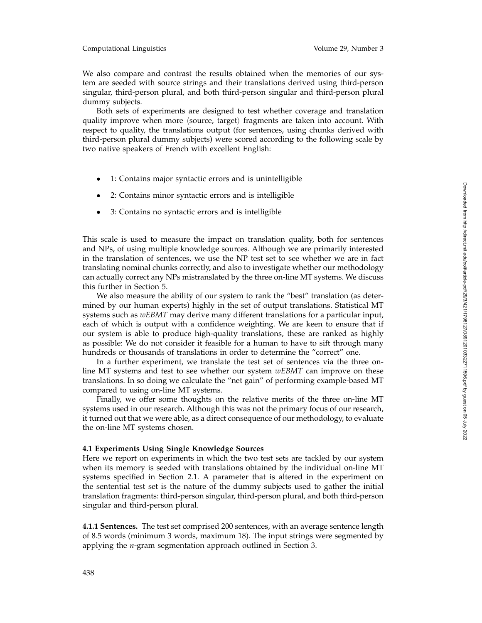## Computational Linguistics Volume 29, Number 3

We also compare and contrast the results obtained when the memories of our system are seeded with source strings and their translations derived using third-person singular, third-person plural, and both third-person singular and third-person plural dummy subjects.

Both sets of experiments are designed to test whether coverage and translation quality improve when more  $\langle$ source, target $\rangle$  fragments are taken into account. With respect to quality, the translations output (for sentences, using chunks derived with third-person plural dummy subjects) were scored according to the following scale by two native speakers of French with excellent English:

- 1: Contains major syntactic errors and is unintelligible
- 2: Contains minor syntactic errors and is intelligible
- 3: Contains no syntactic errors and is intelligible

This scale is used to measure the impact on translation quality, both for sentences and NPs, of using multiple knowledge sources. Although we are primarily interested in the translation of sentences, we use the NP test set to see whether we are in fact translating nominal chunks correctly, and also to investigate whether our methodology can actually correct any NPs mistranslated by the three on-line MT systems. We discuss this further in Section 5.

We also measure the ability of our system to rank the "best" translation (as determined by our human experts) highly in the set of output translations. Statistical MT systems such as *wEBMT* may derive many different translations for a particular input, each of which is output with a confidence weighting. We are keen to ensure that if our system is able to produce high-quality translations, these are ranked as highly as possible: We do not consider it feasible for a human to have to sift through many hundreds or thousands of translations in order to determine the "correct" one.

In a further experiment, we translate the test set of sentences via the three online MT systems and test to see whether our system *wEBMT* can improve on these translations. In so doing we calculate the "net gain" of performing example-based MT compared to using on-line MT systems.

Finally, we offer some thoughts on the relative merits of the three on-line MT systems used in our research. Although this was not the primary focus of our research, it turned out that we were able, as a direct consequence of our methodology, to evaluate the on-line MT systems chosen.

## **4.1 Experiments Using Single Knowledge Sources**

Here we report on experiments in which the two test sets are tackled by our system when its memory is seeded with translations obtained by the individual on-line MT systems specified in Section 2.1. A parameter that is altered in the experiment on the sentential test set is the nature of the dummy subjects used to gather the initial translation fragments: third-person singular, third-person plural, and both third-person singular and third-person plural.

**4.1.1 Sentences.** The test set comprised 200 sentences, with an average sentence length of 8.5 words (minimum 3 words, maximum 18). The input strings were segmented by applying the *n*-gram segmentation approach outlined in Section 3.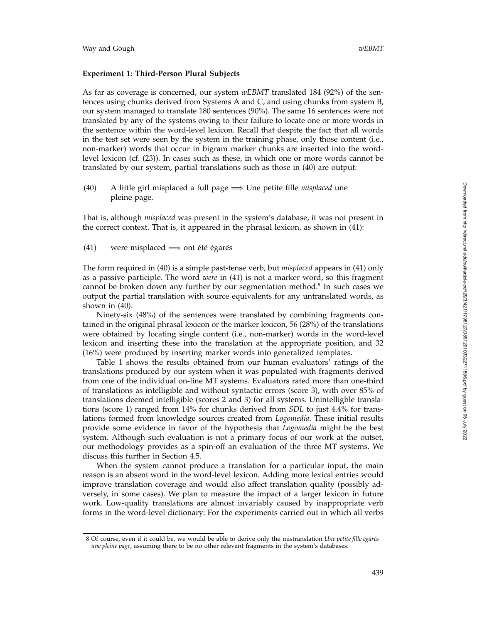## **Experiment 1: Third-Person Plural Subjects**

As far as coverage is concerned, our system *wEBMT* translated 184 (92%) of the sentences using chunks derived from Systems A and C, and using chunks from system B, our system managed to translate 180 sentences (90%). The same 16 sentences were not translated by any of the systems owing to their failure to locate one or more words in the sentence within the word-level lexicon. Recall that despite the fact that all words in the test set were seen by the system in the training phase, only those content (i.e., non-marker) words that occur in bigram marker chunks are inserted into the wordlevel lexicon (cf. (23)). In cases such as these, in which one or more words cannot be translated by our system, partial translations such as those in (40) are output:

(40) A little girl misplaced a full page =⇒ Une petite fille *misplaced* une pleine page.

That is, although *misplaced* was present in the system's database, it was not present in the correct context. That is, it appeared in the phrasal lexicon, as shown in (41):

(41) were misplaced  $\Longrightarrow$  ont été égarés

The form required in (40) is a simple past-tense verb, but *misplaced* appears in (41) only as a passive participle. The word *were* in (41) is not a marker word, so this fragment cannot be broken down any further by our segmentation method. <sup>8</sup> In such cases we output the partial translation with source equivalents for any untranslated words, as shown in (40).

Ninety-six (48%) of the sentences were translated by combining fragments contained in the original phrasal lexicon or the marker lexicon, 56 (28%) of the translations were obtained by locating single content (i.e., non-marker) words in the word-level lexicon and inserting these into the translation at the appropriate position, and 32 (16%) were produced by inserting marker words into generalized templates.

Table 1 shows the results obtained from our human evaluators' ratings of the translations produced by our system when it was populated with fragments derived from one of the individual on-line MT systems. Evaluators rated more than one-third of translations as intelligible and without syntactic errors (score 3), with over 85% of translations deemed intelligible (scores 2 and 3) for all systems. Unintelligble translations (score 1) ranged from 14% for chunks derived from *SDL* to just 4.4% for translations formed from knowledge sources created from *Logomedia*. These initial results provide some evidence in favor of the hypothesis that *Logomedia* might be the best system. Although such evaluation is not a primary focus of our work at the outset, our methodology provides as a spin-off an evaluation of the three MT systems. We discuss this further in Section 4.5.

When the system cannot produce a translation for a particular input, the main reason is an absent word in the word-level lexicon. Adding more lexical entries would improve translation coverage and would also affect translation quality (possibly adversely, in some cases). We plan to measure the impact of a larger lexicon in future work. Low-quality translations are almost invariably caused by inappropriate verb forms in the word-level dictionary: For the experiments carried out in which all verbs

<sup>8</sup> Of course, even if it could be, we would be able to derive only the mistranslation *Une petite fille ´egar´es une pleine page*, assuming there to be no other relevant fragments in the system's databases.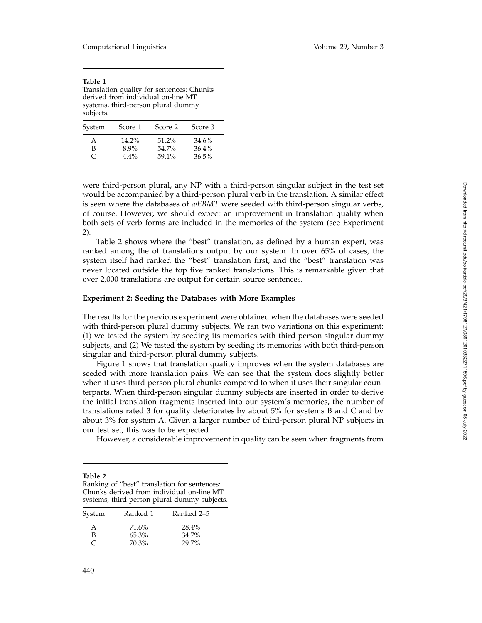| Table 1                                   |
|-------------------------------------------|
| Translation quality for sentences: Chunks |
| derived from individual on-line MT        |
| systems, third-person plural dummy        |
| subjects.                                 |

| System | Score 1  | Score 2  | Score 3 |
|--------|----------|----------|---------|
| А      | $14.2\%$ | $51.2\%$ | 34.6%   |
| В      | $8.9\%$  | 54.7%    | 36.4%   |
| C      | $4.4\%$  | 59.1%    | 36.5%   |

were third-person plural, any NP with a third-person singular subject in the test set would be accompanied by a third-person plural verb in the translation. A similar effect is seen where the databases of *wEBMT* were seeded with third-person singular verbs, of course. However, we should expect an improvement in translation quality when both sets of verb forms are included in the memories of the system (see Experiment 2).

Table 2 shows where the "best" translation, as defined by a human expert, was ranked among the of translations output by our system. In over 65% of cases, the system itself had ranked the "best" translation first, and the "best" translation was never located outside the top five ranked translations. This is remarkable given that over 2,000 translations are output for certain source sentences.

## **Experiment 2: Seeding the Databases with More Examples**

The results for the previous experiment were obtained when the databases were seeded with third-person plural dummy subjects. We ran two variations on this experiment: (1) we tested the system by seeding its memories with third-person singular dummy subjects, and (2) We tested the system by seeding its memories with both third-person singular and third-person plural dummy subjects.

Figure 1 shows that translation quality improves when the system databases are seeded with more translation pairs. We can see that the system does slightly better when it uses third-person plural chunks compared to when it uses their singular counterparts. When third-person singular dummy subjects are inserted in order to derive the initial translation fragments inserted into our system's memories, the number of translations rated 3 for quality deteriorates by about 5% for systems B and C and by about 3% for system A. Given a larger number of third-person plural NP subjects in our test set, this was to be expected.

However, a considerable improvement in quality can be seen when fragments from

| Table 2                                      |
|----------------------------------------------|
| Ranking of "best" translation for sentences: |
| Chunks derived from individual on-line MT    |
| systems, third-person plural dummy subjects. |

| System | Ranked 1 | Ranked 2–5 |
|--------|----------|------------|
| A      | 71.6%    | 28.4%      |
| В      | $65.3\%$ | $34.7\%$   |
| C      | 70.3%    | 29.7%      |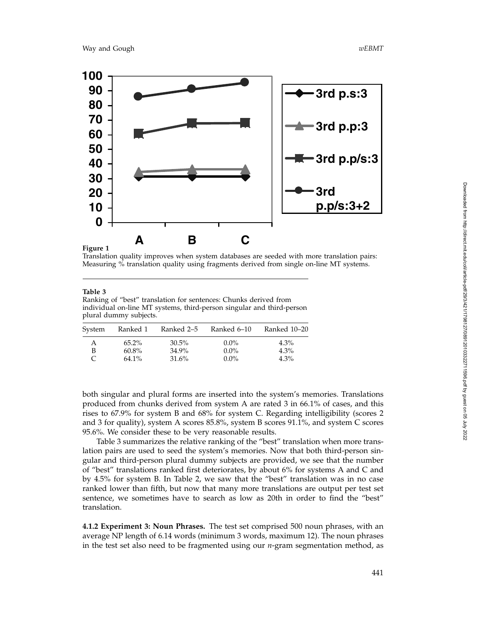

## **Figure 1**

Translation quality improves when system databases are seeded with more translation pairs: Measuring % translation quality using fragments derived from single on-line MT systems.

#### **Table 3**

Ranking of "best" translation for sentences: Chunks derived from individual on-line MT systems, third-person singular and third-person plural dummy subjects.

| System | Ranked 1             | Ranked 2–5     | Ranked 6–10        | Ranked 10–20       |
|--------|----------------------|----------------|--------------------|--------------------|
| А      | $65.2\%$             | $30.5\%$       | $0.0\%$            | $4.3\%$            |
|        | $60.8\%$<br>$64.1\%$ | 34.9%<br>31.6% | $0.0\%$<br>$0.0\%$ | $4.3\%$<br>$4.3\%$ |

both singular and plural forms are inserted into the system's memories. Translations produced from chunks derived from system A are rated 3 in 66.1% of cases, and this rises to 67.9% for system B and 68% for system C. Regarding intelligibility (scores 2 and 3 for quality), system A scores 85.8%, system B scores 91.1%, and system C scores 95.6%. We consider these to be very reasonable results.

Table 3 summarizes the relative ranking of the "best" translation when more translation pairs are used to seed the system's memories. Now that both third-person singular and third-person plural dummy subjects are provided, we see that the number of "best" translations ranked first deteriorates, by about 6% for systems A and C and by 4.5% for system B. In Table 2, we saw that the "best" translation was in no case ranked lower than fifth, but now that many more translations are output per test set sentence, we sometimes have to search as low as 20th in order to find the "best" translation.

**4.1.2 Experiment 3: Noun Phrases.** The test set comprised 500 noun phrases, with an average NP length of 6.14 words (minimum 3 words, maximum 12). The noun phrases in the test set also need to be fragmented using our *n*-gram segmentation method, as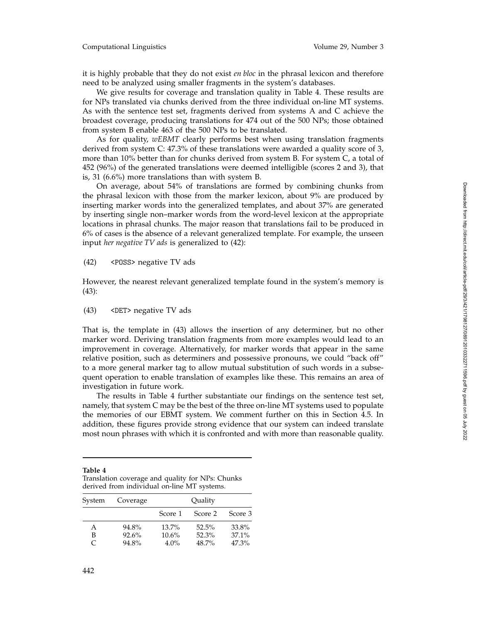it is highly probable that they do not exist *en bloc* in the phrasal lexicon and therefore need to be analyzed using smaller fragments in the system's databases.

We give results for coverage and translation quality in Table 4. These results are for NPs translated via chunks derived from the three individual on-line MT systems. As with the sentence test set, fragments derived from systems A and C achieve the broadest coverage, producing translations for 474 out of the 500 NPs; those obtained from system B enable 463 of the 500 NPs to be translated.

As for quality, *wEBMT* clearly performs best when using translation fragments derived from system C: 47.3% of these translations were awarded a quality score of 3, more than 10% better than for chunks derived from system B. For system C, a total of 452 (96%) of the generated translations were deemed intelligible (scores 2 and 3), that is, 31 (6.6%) more translations than with system B.

On average, about 54% of translations are formed by combining chunks from the phrasal lexicon with those from the marker lexicon, about 9% are produced by inserting marker words into the generalized templates, and about 37% are generated by inserting single non–marker words from the word-level lexicon at the appropriate locations in phrasal chunks. The major reason that translations fail to be produced in 6% of cases is the absence of a relevant generalized template. For example, the unseen input *her negative TV ads* is generalized to (42):

(42) <POSS> negative TV ads

However, the nearest relevant generalized template found in the system's memory is (43):

(43) <DET> negative TV ads

That is, the template in (43) allows the insertion of any determiner, but no other marker word. Deriving translation fragments from more examples would lead to an improvement in coverage. Alternatively, for marker words that appear in the same relative position, such as determiners and possessive pronouns, we could "back off" to a more general marker tag to allow mutual substitution of such words in a subsequent operation to enable translation of examples like these. This remains an area of investigation in future work.

The results in Table 4 further substantiate our findings on the sentence test set, namely, that system C may be the best of the three on-line MT systems used to populate the memories of our EBMT system. We comment further on this in Section 4.5. In addition, these figures provide strong evidence that our system can indeed translate most noun phrases with which it is confronted and with more than reasonable quality.

| Table 4                                          |
|--------------------------------------------------|
| Translation coverage and quality for NPs: Chunks |
| derived from individual on-line MT systems.      |

| System | Coverage | Quality  |         |          |
|--------|----------|----------|---------|----------|
|        |          | Score 1  | Score 2 | Score 3  |
| А      | 94.8%    | $13.7\%$ | 52.5%   | 33.8%    |
| B      | 92.6%    | 10.6%    | 52.3%   | $37.1\%$ |
| C      | 94.8%    | $4.0\%$  | 48.7%   | 47.3%    |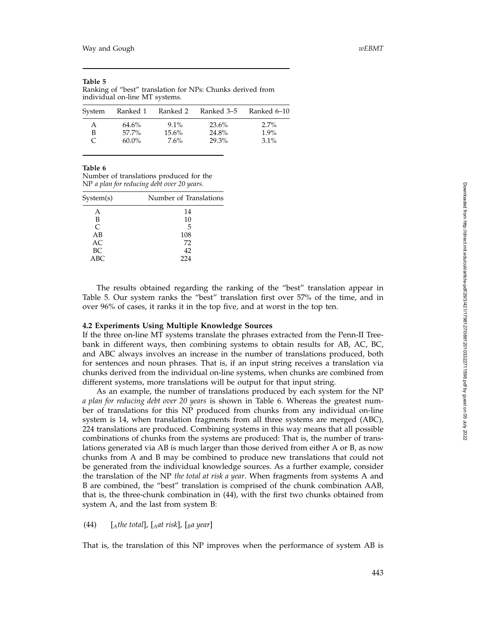| individual on-line MT systems. |          |          |            |             |  |
|--------------------------------|----------|----------|------------|-------------|--|
| System                         | Ranked 1 | Ranked 2 | Ranked 3–5 | Ranked 6–10 |  |
| A                              | 64.6%    | $9.1\%$  | 23.6%      | $2.7\%$     |  |
| B                              | 57.7%    | $15.6\%$ | 24.8%      | $1.9\%$     |  |
| C                              | $60.0\%$ | $7.6\%$  | 29.3%      | $3.1\%$     |  |

Ranking of "best" translation for NPs: Chunks derived from individual on-line MT systems.

**Table 6**

**Table 5**

Number of translations produced for the NP *a plan for reducing debt over 20 years.*

| System(s) | Number of Translations |  |  |
|-----------|------------------------|--|--|
| А         | 14                     |  |  |
| B         | 10                     |  |  |
| C         | 5                      |  |  |
| AB        | 108                    |  |  |
| AC        | 72                     |  |  |
| BC        | 42                     |  |  |
| ABC       | 224                    |  |  |
|           |                        |  |  |

The results obtained regarding the ranking of the "best" translation appear in Table 5. Our system ranks the "best" translation first over 57% of the time, and in over 96% of cases, it ranks it in the top five, and at worst in the top ten.

#### **4.2 Experiments Using Multiple Knowledge Sources**

If the three on-line MT systems translate the phrases extracted from the Penn-II Treebank in different ways, then combining systems to obtain results for AB, AC, BC, and ABC always involves an increase in the number of translations produced, both for sentences and noun phrases. That is, if an input string receives a translation via chunks derived from the individual on-line systems, when chunks are combined from different systems, more translations will be output for that input string.

As an example, the number of translations produced by each system for the NP *a plan for reducing debt over 20 years* is shown in Table 6. Whereas the greatest number of translations for this NP produced from chunks from any individual on-line system is 14, when translation fragments from all three systems are merged (ABC), 224 translations are produced. Combining systems in this way means that all possible combinations of chunks from the systems are produced: That is, the number of translations generated via AB is much larger than those derived from either A or B, as now chunks from A and B may be combined to produce new translations that could not be generated from the individual knowledge sources. As a further example, consider the translation of the NP *the total at risk a year*. When fragments from systems A and B are combined, the "best" translation is comprised of the chunk combination AAB, that is, the three-chunk combination in (44), with the first two chunks obtained from system A, and the last from system B:

## (44) [*Athe total*], [*Aat risk*], [*Ba year*]

That is, the translation of this NP improves when the performance of system AB is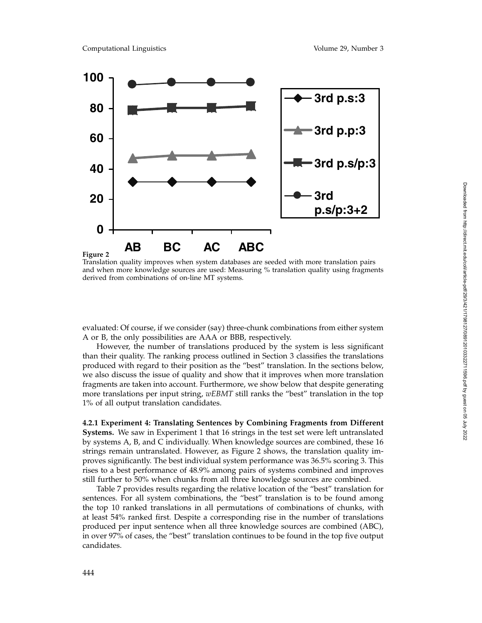

Translation quality improves when system databases are seeded with more translation pairs and when more knowledge sources are used: Measuring % translation quality using fragments derived from combinations of on-line MT systems.

evaluated: Of course, if we consider (say) three-chunk combinations from either system A or B, the only possibilities are AAA or BBB, respectively.

However, the number of translations produced by the system is less significant than their quality. The ranking process outlined in Section 3 classifies the translations produced with regard to their position as the "best" translation. In the sections below, we also discuss the issue of quality and show that it improves when more translation fragments are taken into account. Furthermore, we show below that despite generating more translations per input string, *wEBMT* still ranks the "best" translation in the top 1% of all output translation candidates.

**4.2.1 Experiment 4: Translating Sentences by Combining Fragments from Different Systems.** We saw in Experiment 1 that 16 strings in the test set were left untranslated by systems A, B, and C individually. When knowledge sources are combined, these 16 strings remain untranslated. However, as Figure 2 shows, the translation quality improves significantly. The best individual system performance was 36.5% scoring 3. This rises to a best performance of 48.9% among pairs of systems combined and improves still further to 50% when chunks from all three knowledge sources are combined.

Table 7 provides results regarding the relative location of the "best" translation for sentences. For all system combinations, the "best" translation is to be found among the top 10 ranked translations in all permutations of combinations of chunks, with at least 54% ranked first. Despite a corresponding rise in the number of translations produced per input sentence when all three knowledge sources are combined (ABC), in over 97% of cases, the "best" translation continues to be found in the top five output candidates.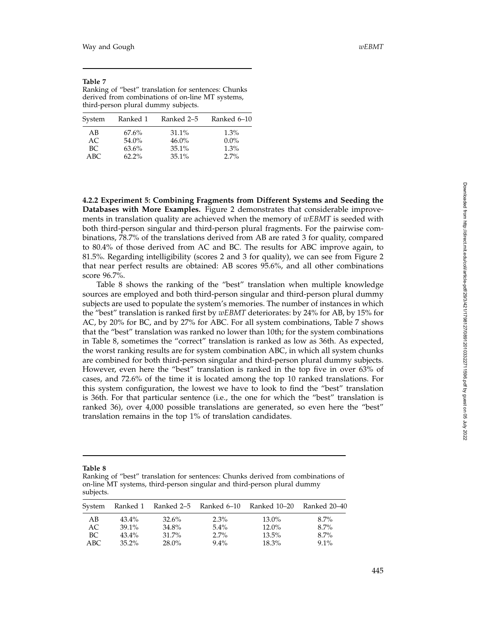#### **Table 7**

Ranking of "best" translation for sentences: Chunks derived from combinations of on-line MT systems, third-person plural dummy subjects.

| System | Ranked 1 | Ranked 2–5 | Ranked 6–10 |
|--------|----------|------------|-------------|
| AB     | $67.6\%$ | $31.1\%$   | 1.3%        |
| AC.    | 54.0%    | $46.0\%$   | $0.0\%$     |
| BC.    | 63.6%    | $35.1\%$   | 1.3%        |
| ABC    | $62.2\%$ | $35.1\%$   | 2.7%        |

**4.2.2 Experiment 5: Combining Fragments from Different Systems and Seeding the Databases with More Examples.** Figure 2 demonstrates that considerable improvements in translation quality are achieved when the memory of *wEBMT* is seeded with both third-person singular and third-person plural fragments. For the pairwise combinations, 78.7% of the translations derived from AB are rated 3 for quality, compared to 80.4% of those derived from AC and BC. The results for ABC improve again, to 81.5%. Regarding intelligibility (scores 2 and 3 for quality), we can see from Figure 2 that near perfect results are obtained: AB scores 95.6%, and all other combinations score 96.7%.

Table 8 shows the ranking of the "best" translation when multiple knowledge sources are employed and both third-person singular and third-person plural dummy subjects are used to populate the system's memories. The number of instances in which the "best" translation is ranked first by *wEBMT* deteriorates: by 24% for AB, by 15% for AC, by 20% for BC, and by 27% for ABC. For all system combinations, Table 7 shows that the "best" translation was ranked no lower than 10th; for the system combinations in Table 8, sometimes the "correct" translation is ranked as low as 36th. As expected, the worst ranking results are for system combination ABC, in which all system chunks are combined for both third-person singular and third-person plural dummy subjects. However, even here the "best" translation is ranked in the top five in over 63% of cases, and 72.6% of the time it is located among the top 10 ranked translations. For this system configuration, the lowest we have to look to find the "best" translation is 36th. For that particular sentence (i.e., the one for which the "best" translation is ranked 36), over 4,000 possible translations are generated, so even here the "best" translation remains in the top 1% of translation candidates.

Ranking of "best" translation for sentences: Chunks derived from combinations of on-line MT systems, third-person singular and third-person plural dummy subjects.

| System |          |          |         | Ranked 1 Ranked 2–5 Ranked 6–10 Ranked 10–20 | Ranked 20–40 |
|--------|----------|----------|---------|----------------------------------------------|--------------|
| AB     | $43.4\%$ | $32.6\%$ | $2.3\%$ | 13.0%                                        | $8.7\%$      |
| AC     | $39.1\%$ | 34.8%    | $5.4\%$ | 12.0%                                        | $8.7\%$      |
| BC     | $43.4\%$ | $31.7\%$ | $2.7\%$ | $13.5\%$                                     | $8.7\%$      |
| ABC.   | $35.2\%$ | $28.0\%$ | $9.4\%$ | $18.3\%$                                     | $9.1\%$      |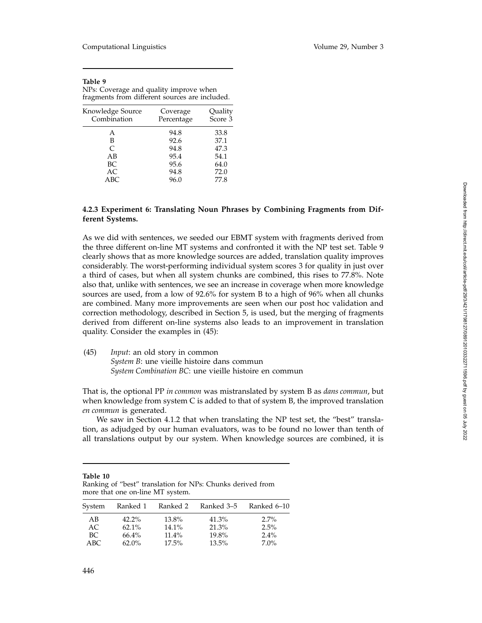| Table 9                                        |
|------------------------------------------------|
| NPs: Coverage and quality improve when         |
| fragments from different sources are included. |

| Knowledge Source<br>Combination | Coverage<br>Percentage | Quality<br>Score 3 |
|---------------------------------|------------------------|--------------------|
| А                               | 94.8                   | 33.8               |
| в                               | 92.6                   | 37.1               |
| C                               | 94.8                   | 47.3               |
| AB                              | 95.4                   | 54.1               |
| BC                              | 95.6                   | 64.0               |
| AC                              | 94.8                   | 72.0               |
| ABC                             | 96.0                   | 77.8               |

# **4.2.3 Experiment 6: Translating Noun Phrases by Combining Fragments from Different Systems.**

As we did with sentences, we seeded our EBMT system with fragments derived from the three different on-line MT systems and confronted it with the NP test set. Table 9 clearly shows that as more knowledge sources are added, translation quality improves considerably. The worst-performing individual system scores 3 for quality in just over a third of cases, but when all system chunks are combined, this rises to 77.8%. Note also that, unlike with sentences, we see an increase in coverage when more knowledge sources are used, from a low of 92.6% for system B to a high of 96% when all chunks are combined. Many more improvements are seen when our post hoc validation and correction methodology, described in Section 5, is used, but the merging of fragments derived from different on-line systems also leads to an improvement in translation quality. Consider the examples in (45):

(45) *Input*: an old story in common *System B*: une vieille histoire dans commun *System Combination BC*: une vieille histoire en commun

That is, the optional PP *in common* was mistranslated by system B as *dans commun*, but when knowledge from system C is added to that of system B, the improved translation *en commun* is generated.

We saw in Section 4.1.2 that when translating the NP test set, the "best" translation, as adjudged by our human evaluators, was to be found no lower than tenth of all translations output by our system. When knowledge sources are combined, it is

| Table 10                                                   |  |
|------------------------------------------------------------|--|
| Ranking of "best" translation for NPs: Chunks derived from |  |
| more that one on-line MT system.                           |  |

| System | Ranked 1 | Ranked 2 | Ranked 3–5 | Ranked 6-10 |
|--------|----------|----------|------------|-------------|
| AB     | $42.2\%$ | 13.8%    | 41.3%      | $2.7\%$     |
| AC     | $62.1\%$ | $14.1\%$ | 21.3%      | 2.5%        |
| BC     | 66.4%    | $11.4\%$ | 19.8%      | $2.4\%$     |
| ABC    | $62.0\%$ | $17.5\%$ | $13.5\%$   | $7.0\%$     |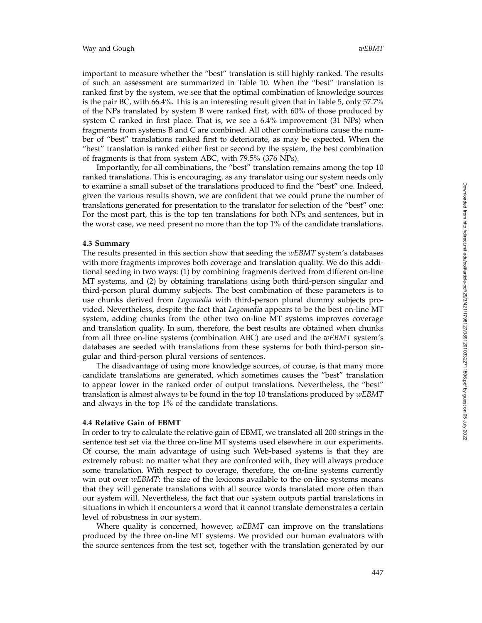important to measure whether the "best" translation is still highly ranked. The results of such an assessment are summarized in Table 10. When the "best" translation is ranked first by the system, we see that the optimal combination of knowledge sources is the pair BC, with 66.4%. This is an interesting result given that in Table 5, only 57.7% of the NPs translated by system B were ranked first, with 60% of those produced by system C ranked in first place. That is, we see a 6.4% improvement (31 NPs) when fragments from systems B and C are combined. All other combinations cause the number of "best" translations ranked first to deteriorate, as may be expected. When the "best" translation is ranked either first or second by the system, the best combination of fragments is that from system ABC, with 79.5% (376 NPs).

Importantly, for all combinations, the "best" translation remains among the top 10 ranked translations. This is encouraging, as any translator using our system needs only to examine a small subset of the translations produced to find the "best" one. Indeed, given the various results shown, we are confident that we could prune the number of translations generated for presentation to the translator for selection of the "best" one: For the most part, this is the top ten translations for both NPs and sentences, but in the worst case, we need present no more than the top 1% of the candidate translations.

#### **4.3 Summary**

The results presented in this section show that seeding the *wEBMT* system's databases with more fragments improves both coverage and translation quality. We do this additional seeding in two ways: (1) by combining fragments derived from different on-line MT systems, and (2) by obtaining translations using both third-person singular and third-person plural dummy subjects. The best combination of these parameters is to use chunks derived from *Logomedia* with third-person plural dummy subjects provided. Nevertheless, despite the fact that *Logomedia* appears to be the best on-line MT system, adding chunks from the other two on-line MT systems improves coverage and translation quality. In sum, therefore, the best results are obtained when chunks from all three on-line systems (combination ABC) are used and the *wEBMT* system's databases are seeded with translations from these systems for both third-person singular and third-person plural versions of sentences.

The disadvantage of using more knowledge sources, of course, is that many more candidate translations are generated, which sometimes causes the "best" translation to appear lower in the ranked order of output translations. Nevertheless, the "best" translation is almost always to be found in the top 10 translations produced by *wEBMT* and always in the top 1% of the candidate translations.

#### **4.4 Relative Gain of EBMT**

In order to try to calculate the relative gain of EBMT, we translated all 200 strings in the sentence test set via the three on-line MT systems used elsewhere in our experiments. Of course, the main advantage of using such Web-based systems is that they are extremely robust: no matter what they are confronted with, they will always produce some translation. With respect to coverage, therefore, the on-line systems currently win out over *wEBMT*: the size of the lexicons available to the on-line systems means that they will generate translations with all source words translated more often than our system will. Nevertheless, the fact that our system outputs partial translations in situations in which it encounters a word that it cannot translate demonstrates a certain level of robustness in our system.

Where quality is concerned, however, *wEBMT* can improve on the translations produced by the three on-line MT systems. We provided our human evaluators with the source sentences from the test set, together with the translation generated by our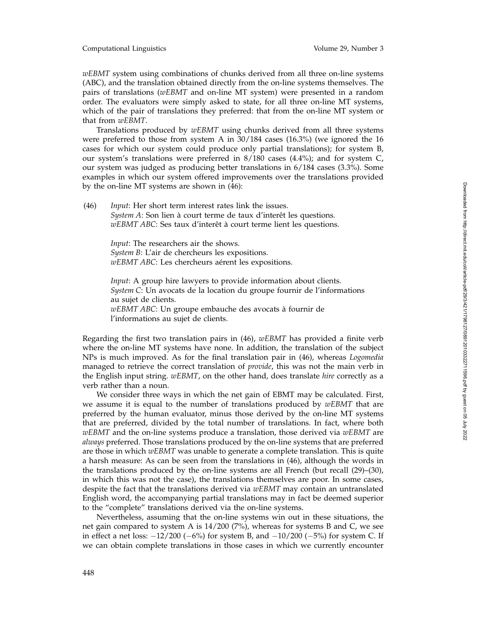Computational Linguistics Volume 29, Number 3

*wEBMT* system using combinations of chunks derived from all three on-line systems (ABC), and the translation obtained directly from the on-line systems themselves. The pairs of translations (*wEBMT* and on-line MT system) were presented in a random order. The evaluators were simply asked to state, for all three on-line MT systems, which of the pair of translations they preferred: that from the on-line MT system or that from *wEBMT* .

Translations produced by *wEBMT* using chunks derived from all three systems were preferred to those from system A in 30/184 cases (16.3%) (we ignored the 16 cases for which our system could produce only partial translations); for system B, our system's translations were preferred in 8/180 cases (4.4%); and for system C, our system was judged as producing better translations in 6/184 cases (3.3%). Some examples in which our system offered improvements over the translations provided by the on-line MT systems are shown in (46):

(46) *Input*: Her short term interest rates link the issues. *System A*: Son lien à court terme de taux d'interêt les questions. *wEBMT ABC*: Ses taux d'interêt à court terme lient les questions.

> *Input*: The researchers air the shows. *System B*: L'air de chercheurs les expositions. *wEBMT ABC*: Les chercheurs aérent les expositions.

*Input*: A group hire lawyers to provide information about clients. *System C*: Un avocats de la location du groupe fournir de l'informations au sujet de clients. *wEBMT ABC*: Un groupe embauche des avocats à fournir de

l'informations au sujet de clients.

Regarding the first two translation pairs in (46), *wEBMT* has provided a finite verb where the on-line MT systems have none. In addition, the translation of the subject NPs is much improved. As for the final translation pair in (46), whereas *Logomedia* managed to retrieve the correct translation of *provide*, this was not the main verb in the English input string. *wEBMT*, on the other hand, does translate *hire* correctly as a verb rather than a noun.

We consider three ways in which the net gain of EBMT may be calculated. First, we assume it is equal to the number of translations produced by *wEBMT* that are preferred by the human evaluator, minus those derived by the on-line MT systems that are preferred, divided by the total number of translations. In fact, where both *wEBMT* and the on-line systems produce a translation, those derived via *wEBMT* are *always* preferred. Those translations produced by the on-line systems that are preferred are those in which *wEBMT* was unable to generate a complete translation. This is quite a harsh measure: As can be seen from the translations in (46), although the words in the translations produced by the on-line systems are all French (but recall (29)–(30), in which this was not the case), the translations themselves are poor. In some cases, despite the fact that the translations derived via *wEBMT* may contain an untranslated English word, the accompanying partial translations may in fact be deemed superior to the "complete" translations derived via the on-line systems.

Nevertheless, assuming that the on-line systems win out in these situations, the net gain compared to system A is 14/200 (7%), whereas for systems B and C, we see in effect a net loss:  $-12/200$  ( $-6\%$ ) for system B, and  $-10/200$  ( $-5\%$ ) for system C. If we can obtain complete translations in those cases in which we currently encounter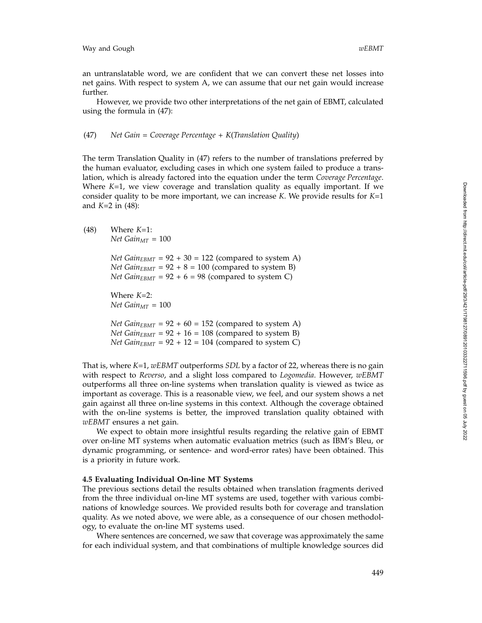an untranslatable word, we are confident that we can convert these net losses into net gains. With respect to system A, we can assume that our net gain would increase further.

However, we provide two other interpretations of the net gain of EBMT, calculated using the formula in (47):

(47) *Net Gain* = *Coverage Percentage* + *K* (*Translation Quality* )

The term Translation Quality in (47) refers to the number of translations preferred by the human evaluator, excluding cases in which one system failed to produce a translation, which is already factored into the equation under the term *Coverage Percentage*. Where *K*=1, we view coverage and translation quality as equally important. If we consider quality to be more important, we can increase *K*. We provide results for *K*=1 and *K*=2 in (48):

(48) Where *K*=1: *Net Gain* $_{MT}$  = 100

> *Net Gain<sub>EBMT</sub>* =  $92 + 30 = 122$  (compared to system A) *Net Gain<sub>EBMT</sub>* =  $92 + 8 = 100$  (compared to system B) *Net Gain*<sub>EBMT</sub> =  $92 + 6 = 98$  (compared to system C)

Where *K*=2: *Net Gain* $_{MT}$  = 100

*Net Gain*<sub>EBMT</sub> =  $92 + 60 = 152$  (compared to system A) *Net Gain*<sub>EBMT</sub> =  $92 + 16 = 108$  (compared to system B) *Net Gain*<sub>EBMT</sub> =  $92 + 12 = 104$  (compared to system C)

That is, where *K*=1, *wEBMT* outperforms *SDL* by a factor of 22, whereas there is no gain with respect to *Reverso*, and a slight loss compared to *Logomedia*. However, *wEBMT* outperforms all three on-line systems when translation quality is viewed as twice as important as coverage. This is a reasonable view, we feel, and our system shows a net gain against all three on-line systems in this context. Although the coverage obtained with the on-line systems is better, the improved translation quality obtained with *wEBMT* ensures a net gain.

We expect to obtain more insightful results regarding the relative gain of EBMT over on-line MT systems when automatic evaluation metrics (such as IBM's Bleu, or dynamic programming, or sentence- and word-error rates) have been obtained. This is a priority in future work.

## **4.5 Evaluating Individual On-line MT Systems**

The previous sections detail the results obtained when translation fragments derived from the three individual on-line MT systems are used, together with various combinations of knowledge sources. We provided results both for coverage and translation quality. As we noted above, we were able, as a consequence of our chosen methodology, to evaluate the on-line MT systems used.

Where sentences are concerned, we saw that coverage was approximately the same for each individual system, and that combinations of multiple knowledge sources did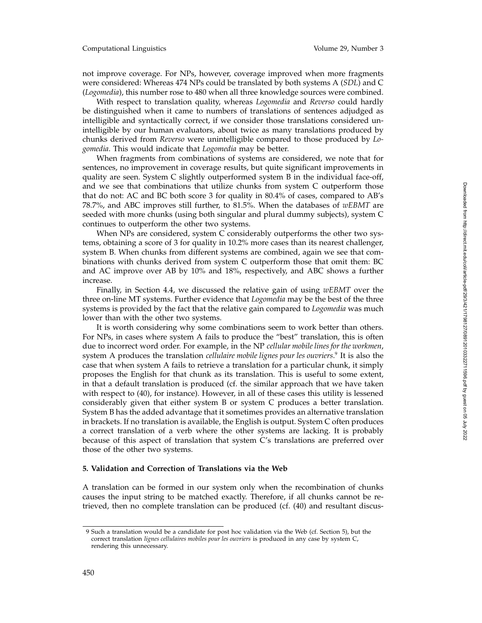not improve coverage. For NPs, however, coverage improved when more fragments were considered: Whereas 474 NPs could be translated by both systems A (*SDL*) and C (*Logomedia*), this number rose to 480 when all three knowledge sources were combined.

With respect to translation quality, whereas *Logomedia* and *Reverso* could hardly be distinguished when it came to numbers of translations of sentences adjudged as intelligible and syntactically correct, if we consider those translations considered unintelligible by our human evaluators, about twice as many translations produced by chunks derived from *Reverso* were unintelligible compared to those produced by *Logomedia*. This would indicate that *Logomedia* may be better.

When fragments from combinations of systems are considered, we note that for sentences, no improvement in coverage results, but quite significant improvements in quality are seen. System C slightly outperformed system B in the individual face-off, and we see that combinations that utilize chunks from system C outperform those that do not: AC and BC both score 3 for quality in 80.4% of cases, compared to AB's 78.7%, and ABC improves still further, to 81.5%. When the databases of *wEBMT* are seeded with more chunks (using both singular and plural dummy subjects), system C continues to outperform the other two systems.

When NPs are considered, system C considerably outperforms the other two systems, obtaining a score of 3 for quality in 10.2% more cases than its nearest challenger, system B. When chunks from different systems are combined, again we see that combinations with chunks derived from system C outperform those that omit them: BC and AC improve over AB by 10% and 18%, respectively, and ABC shows a further increase.

Finally, in Section 4.4, we discussed the relative gain of using *wEBMT* over the three on-line MT systems. Further evidence that *Logomedia* may be the best of the three systems is provided by the fact that the relative gain compared to *Logomedia* was much lower than with the other two systems.

It is worth considering why some combinations seem to work better than others. For NPs, in cases where system A fails to produce the "best" translation, this is often due to incorrect word order. For example, in the NP *cellular mobile lines for the workmen* , system A produces the translation *cellulaire mobile lignes pour les ouvriers* . <sup>9</sup> It is also the case that when system A fails to retrieve a translation for a particular chunk, it simply proposes the English for that chunk as its translation. This is useful to some extent, in that a default translation is produced (cf. the similar approach that we have taken with respect to (40), for instance). However, in all of these cases this utility is lessened considerably given that either system B or system C produces a better translation. System B has the added advantage that it sometimes provides an alternative translation in brackets. If no translation is available, the English is output. System C often produces a correct translation of a verb where the other systems are lacking. It is probably because of this aspect of translation that system C's translations are preferred over those of the other two systems.

## **5. Validation and Correction of Translations via the Web**

A translation can be formed in our system only when the recombination of chunks causes the input string to be matched exactly. Therefore, if all chunks cannot be retrieved, then no complete translation can be produced (cf. (40) and resultant discus-

<sup>9</sup> Such a translation would be a candidate for post hoc validation via the Web (cf. Section 5), but the correct translation *lignes cellulaires mobiles pour les ouvriers* is produced in any case by system C, rendering this unnecessary.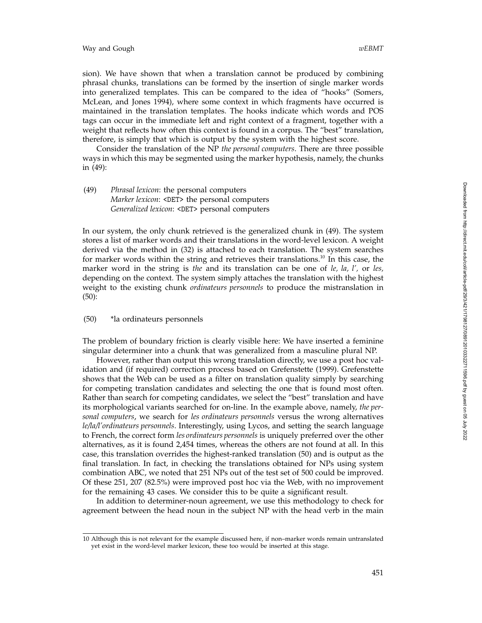sion). We have shown that when a translation cannot be produced by combining phrasal chunks, translations can be formed by the insertion of single marker words into generalized templates. This can be compared to the idea of "hooks" (Somers, McLean, and Jones 1994), where some context in which fragments have occurred is maintained in the translation templates. The hooks indicate which words and POS tags can occur in the immediate left and right context of a fragment, together with a weight that reflects how often this context is found in a corpus. The "best" translation, therefore, is simply that which is output by the system with the highest score.

Consider the translation of the NP *the personal computers*. There are three possible ways in which this may be segmented using the marker hypothesis, namely, the chunks in (49):

# (49) *Phrasal lexicon*: the personal computers *Marker lexicon* : <DET> the personal computers *Generalized lexicon* : <DET> personal computers

In our system, the only chunk retrieved is the generalized chunk in (49). The system stores a list of marker words and their translations in the word-level lexicon. A weight derived via the method in (32) is attached to each translation. The system searches for marker words within the string and retrieves their translations.<sup>10</sup> In this case, the marker word in the string is *the* and its translation can be one of *le, la, l',* or *les,* depending on the context. The system simply attaches the translation with the highest weight to the existing chunk *ordinateurs personnels* to produce the mistranslation in (50):

## (50) \*la ordinateurs personnels

The problem of boundary friction is clearly visible here: We have inserted a feminine singular determiner into a chunk that was generalized from a masculine plural NP.

However, rather than output this wrong translation directly, we use a post hoc validation and (if required) correction process based on Grefenstette (1999). Grefenstette shows that the Web can be used as a filter on translation quality simply by searching for competing translation candidates and selecting the one that is found most often. Rather than search for competing candidates, we select the "best" translation and have its morphological variants searched for on-line. In the example above, namely, *the personal computers*, we search for *les ordinateurs personnels* versus the wrong alternatives *le/la/l'ordinateurs personnels*. Interestingly, using Lycos, and setting the search language to French, the correct form *les ordinateurs personnels* is uniquely preferred over the other alternatives, as it is found 2,454 times, whereas the others are not found at all. In this case, this translation overrides the highest-ranked translation (50) and is output as the final translation. In fact, in checking the translations obtained for NPs using system combination ABC, we noted that 251 NPs out of the test set of 500 could be improved. Of these 251, 207 (82.5%) were improved post hoc via the Web, with no improvement for the remaining 43 cases. We consider this to be quite a significant result.

In addition to determiner-noun agreement, we use this methodology to check for agreement between the head noun in the subject NP with the head verb in the main

<sup>10</sup> Although this is not relevant for the example discussed here, if non–marker words remain untranslated yet exist in the word-level marker lexicon, these too would be inserted at this stage.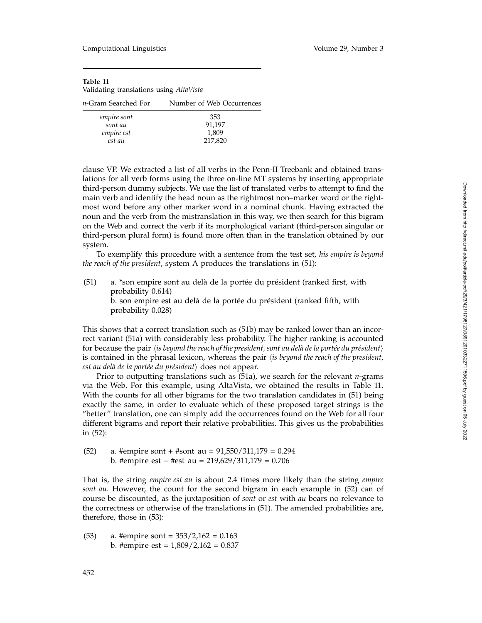## **Table 11**

| Number of Web Occurrences |
|---------------------------|
| 353                       |
| 91,197                    |
| 1,809                     |
| 217,820                   |
|                           |

clause VP. We extracted a list of all verbs in the Penn-II Treebank and obtained translations for all verb forms using the three on-line MT systems by inserting appropriate third-person dummy subjects. We use the list of translated verbs to attempt to find the main verb and identify the head noun as the rightmost non–marker word or the rightmost word before any other marker word in a nominal chunk. Having extracted the noun and the verb from the mistranslation in this way, we then search for this bigram on the Web and correct the verb if its morphological variant (third-person singular or third-person plural form) is found more often than in the translation obtained by our system.

To exemplify this procedure with a sentence from the test set, *his empire is beyond the reach of the president*, system A produces the translations in (51):

(51) a. \*son empire sont au delà de la portée du président (ranked first, with probability 0.614) b. son empire est au delà de la portée du président (ranked fifth, with probability 0.028)

This shows that a correct translation such as (51b) may be ranked lower than an incorrect variant (51a) with considerably less probability. The higher ranking is accounted for because the pair *\is beyond the reach of the president, sont au delà de la portée du président*) is contained in the phrasal lexicon, whereas the pair *is beyond the reach of the president,* est au delà de la portée du président $\rangle$  does not appear.

Prior to outputting translations such as (51a), we search for the relevant *n*-grams via the Web. For this example, using AltaVista, we obtained the results in Table 11. With the counts for all other bigrams for the two translation candidates in (51) being exactly the same, in order to evaluate which of these proposed target strings is the "better" translation, one can simply add the occurrences found on the Web for all four different bigrams and report their relative probabilities. This gives us the probabilities in (52):

(52) a. #empire sont + #sont au = 91,550/311,179 = 0.294 b. #empire est + #est au = 219,629/311,179 = 0.706

That is, the string *empire est au* is about 2.4 times more likely than the string *empire sont au*. However, the count for the second bigram in each example in (52) can of course be discounted, as the juxtaposition of *sont* or *est* with *au* bears no relevance to the correctness or otherwise of the translations in (51). The amended probabilities are, therefore, those in (53):

(53) a. #empire sont =  $353/2,162 = 0.163$ b. #empire est =  $1,809/2,162 = 0.837$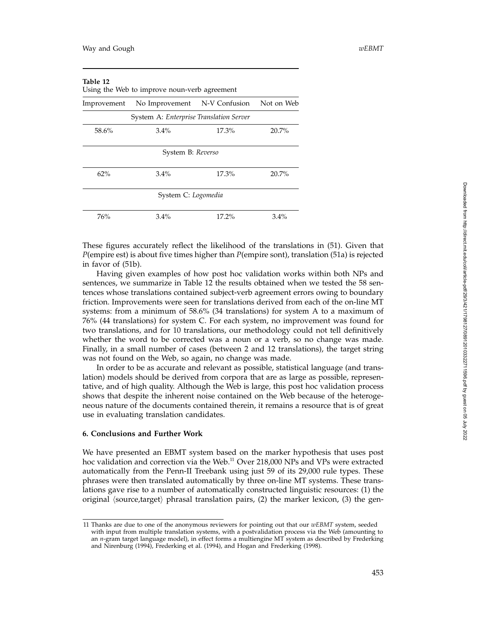| Table 12    | Using the Web to improve noun-verb agreement |            |          |
|-------------|----------------------------------------------|------------|----------|
| Improvement | No Improvement N-V Confusion                 | Not on Web |          |
|             | System A: Enterprise Translation Server      |            |          |
| 58.6%       | $3.4\%$                                      | 17.3%      | 20.7%    |
|             | System B: Reverso                            |            |          |
| 62%         | $3.4\%$                                      | 17.3%      | $20.7\%$ |
|             | System C: Logomedia                          |            |          |
| 76%         | $3.4\%$                                      | $17.2\%$   | $3.4\%$  |

These figures accurately reflect the likelihood of the translations in (51). Given that *P*(empire est) is about five times higher than *P*(empire sont), translation (51a) is rejected in favor of (51b).

Having given examples of how post hoc validation works within both NPs and sentences, we summarize in Table 12 the results obtained when we tested the 58 sentences whose translations contained subject-verb agreement errors owing to boundary friction. Improvements were seen for translations derived from each of the on-line MT systems: from a minimum of 58.6% (34 translations) for system A to a maximum of 76% (44 translations) for system C. For each system, no improvement was found for two translations, and for 10 translations, our methodology could not tell definitively whether the word to be corrected was a noun or a verb, so no change was made. Finally, in a small number of cases (between 2 and 12 translations), the target string was not found on the Web, so again, no change was made.

In order to be as accurate and relevant as possible, statistical language (and translation) models should be derived from corpora that are as large as possible, representative, and of high quality. Although the Web is large, this post hoc validation process shows that despite the inherent noise contained on the Web because of the heterogeneous nature of the documents contained therein, it remains a resource that is of great use in evaluating translation candidates.

## **6. Conclusions and Further Work**

We have presented an EBMT system based on the marker hypothesis that uses post hoc validation and correction via the Web.<sup>11</sup> Over 218,000 NPs and VPs were extracted automatically from the Penn-II Treebank using just 59 of its 29,000 rule types. These phrases were then translated automatically by three on-line MT systems. These translations gave rise to a number of automatically constructed linguistic resources: (1) the original  $\langle$ source,target $\rangle$  phrasal translation pairs, (2) the marker lexicon, (3) the gen-

<sup>11</sup> Thanks are due to one of the anonymous reviewers for pointing out that our *wEBMT* system, seeded with input from multiple translation systems, with a postvalidation process via the Web (amounting to an *n*-gram target language model), in effect forms a multiengine MT system as described by Frederking and Nirenburg (1994), Frederking et al. (1994), and Hogan and Frederking (1998).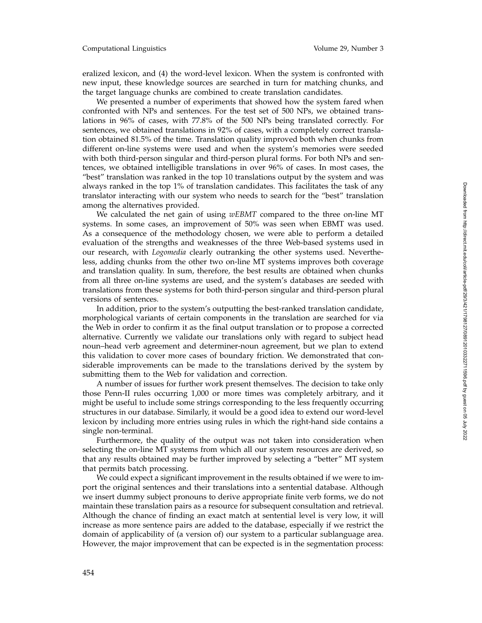eralized lexicon, and (4) the word-level lexicon. When the system is confronted with new input, these knowledge sources are searched in turn for matching chunks, and the target language chunks are combined to create translation candidates.

We presented a number of experiments that showed how the system fared when confronted with NPs and sentences. For the test set of 500 NPs, we obtained translations in 96% of cases, with 77.8% of the 500 NPs being translated correctly. For sentences, we obtained translations in 92% of cases, with a completely correct translation obtained 81.5% of the time. Translation quality improved both when chunks from different on-line systems were used and when the system's memories were seeded with both third-person singular and third-person plural forms. For both NPs and sentences, we obtained intelligible translations in over 96% of cases. In most cases, the "best" translation was ranked in the top 10 translations output by the system and was always ranked in the top 1% of translation candidates. This facilitates the task of any translator interacting with our system who needs to search for the "best" translation among the alternatives provided.

We calculated the net gain of using *wEBMT* compared to the three on-line MT systems. In some cases, an improvement of 50% was seen when EBMT was used. As a consequence of the methodology chosen, we were able to perform a detailed evaluation of the strengths and weaknesses of the three Web-based systems used in our research, with *Logomedia* clearly outranking the other systems used. Nevertheless, adding chunks from the other two on-line MT systems improves both coverage and translation quality. In sum, therefore, the best results are obtained when chunks from all three on-line systems are used, and the system's databases are seeded with translations from these systems for both third-person singular and third-person plural versions of sentences.

In addition, prior to the system's outputting the best-ranked translation candidate, morphological variants of certain components in the translation are searched for via the Web in order to confirm it as the final output translation or to propose a corrected alternative. Currently we validate our translations only with regard to subject head noun–head verb agreement and determiner-noun agreement, but we plan to extend this validation to cover more cases of boundary friction. We demonstrated that considerable improvements can be made to the translations derived by the system by submitting them to the Web for validation and correction.

A number of issues for further work present themselves. The decision to take only those Penn-II rules occurring 1,000 or more times was completely arbitrary, and it might be useful to include some strings corresponding to the less frequently occurring structures in our database. Similarly, it would be a good idea to extend our word-level lexicon by including more entries using rules in which the right-hand side contains a single non-terminal.

Furthermore, the quality of the output was not taken into consideration when selecting the on-line MT systems from which all our system resources are derived, so that any results obtained may be further improved by selecting a "better" MT system that permits batch processing.

We could expect a significant improvement in the results obtained if we were to import the original sentences and their translations into a sentential database. Although we insert dummy subject pronouns to derive appropriate finite verb forms, we do not maintain these translation pairs as a resource for subsequent consultation and retrieval. Although the chance of finding an exact match at sentential level is very low, it will increase as more sentence pairs are added to the database, especially if we restrict the domain of applicability of (a version of) our system to a particular sublanguage area. However, the major improvement that can be expected is in the segmentation process: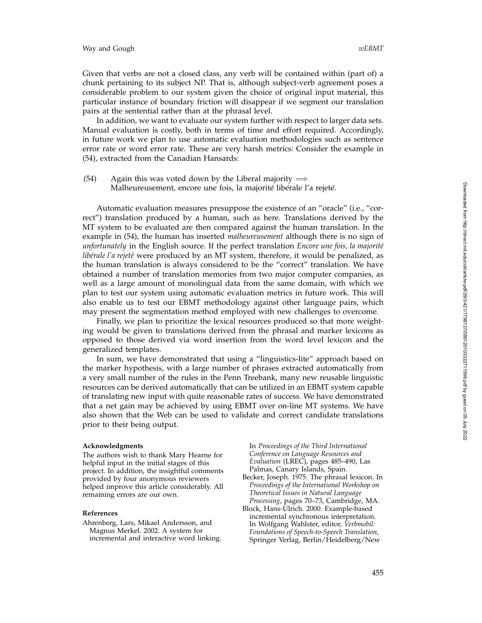Given that verbs are not a closed class, any verb will be contained within (part of) a chunk pertaining to its subject NP. That is, although subject-verb agreement poses a considerable problem to our system given the choice of original input material, this particular instance of boundary friction will disappear if we segment our translation pairs at the sentential rather than at the phrasal level.

In addition, we want to evaluate our system further with respect to larger data sets. Manual evaluation is costly, both in terms of time and effort required. Accordingly, in future work we plan to use automatic evaluation methodologies such as sentence error rate or word error rate. These are very harsh metrics: Consider the example in (54), extracted from the Canadian Hansards:

(54) Again this was voted down by the Liberal majority  $\Longrightarrow$ Malheureusement, encore une fois, la majorité libérale l'a rejeté.

Automatic evaluation measures presuppose the existence of an "oracle" (i.e., "correct") translation produced by a human, such as here. Translations derived by the MT system to be evaluated are then compared against the human translation. In the example in (54), the human has inserted *malheureusement* although there is no sign of *unfortunately* in the English source. If the perfect translation *Encore une fois, la majorité libérale l'a rejeté* were produced by an MT system, therefore, it would be penalized, as the human translation is always considered to be the "correct" translation. We have obtained a number of translation memories from two major computer companies, as well as a large amount of monolingual data from the same domain, with which we plan to test our system using automatic evaluation metrics in future work. This will also enable us to test our EBMT methodology against other language pairs, which may present the segmentation method employed with new challenges to overcome.

Finally, we plan to prioritize the lexical resources produced so that more weighting would be given to translations derived from the phrasal and marker lexicons as opposed to those derived via word insertion from the word level lexicon and the generalized templates.

In sum, we have demonstrated that using a "linguistics-lite" approach based on the marker hypothesis, with a large number of phrases extracted automatically from a very small number of the rules in the Penn Treebank, many new reusable linguistic resources can be derived automatically that can be utilized in an EBMT system capable of translating new input with quite reasonable rates of success. We have demonstrated that a net gain may be achieved by using EBMT over on-line MT systems. We have also shown that the Web can be used to validate and correct candidate translations prior to their being output.

#### **Acknowledgments**

The authors wish to thank Mary Hearne for helpful input in the initial stages of this project. In addition, the insightful comments provided by four anonymous reviewers helped improve this article considerably. All remaining errors are our own.

#### **References**

Ahrenberg, Lars, Mikael Andersson, and Magnus Merkel. 2002. A system for incremental and interactive word linking. In *Proceedings of the Third International Conference on Language Resources and Evaluation* (LREC), pages 485–490, Las Palmas, Canary Islands, Spain.

- Becker, Joseph. 1975. The phrasal lexicon. In *Proceedings of the International Workshop on Theoretical Issues in Natural Language Processing*, pages 70–73, Cambridge, MA.
- Block, Hans-Ulrich. 2000. Example-based incremental synchronous interpretation. In Wolfgang Wahlster, editor, *Verbmobil: Foundations of Speech-to-Speech Translation* , Springer Verlag, Berlin/Heidelberg/New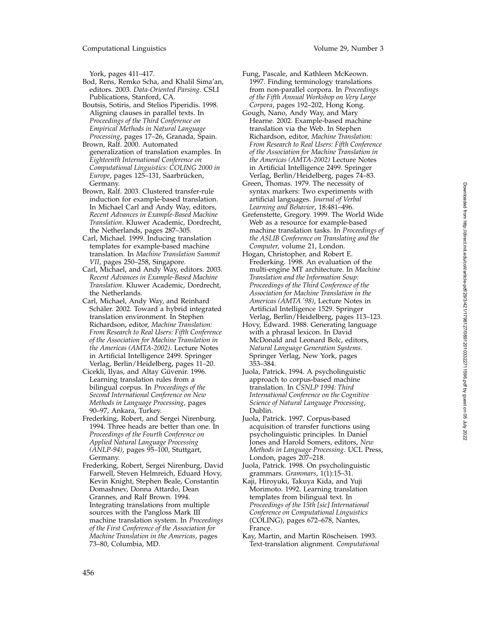York, pages 411–417.

- Bod, Rens, Remko Scha, and Khalil Sima'an, editors. 2003. *Data-Oriented Parsing*. CSLI Publications, Stanford, CA.
- Boutsis, Sotiris, and Stelios Piperidis. 1998. Aligning clauses in parallel texts. In *Proceedings of the Third Conference on Empirical Methods in Natural Language Processing*, pages 17–26, Granada, Spain.
- Brown, Ralf. 2000. Automated generalization of translation examples. In *Eighteenth International Conference on Computational Linguistics: COLING 2000 in* Europe, pages 125-131, Saarbrücken, Germany.
- Brown, Ralf. 2003. Clustered transfer-rule induction for example-based translation. In Michael Carl and Andy Way, editors, *Recent Advances in Example-Based Machine Translation*. Kluwer Academic, Dordrecht, the Netherlands, pages 287–305.
- Carl, Michael. 1999. Inducing translation templates for example-based machine translation. In *Machine Translation Summit VII*, pages 250–258, Singapore.
- Carl, Michael, and Andy Way, editors. 2003. *Recent Advances in Example-Based Machine Translation*. Kluwer Academic, Dordrecht, the Netherlands.
- Carl, Michael, Andy Way, and Reinhard Schäler. 2002. Toward a hybrid integrated translation environment. In Stephen Richardson, editor, *Machine Translation: From Research to Real Users: Fifth Conference of the Association for Machine Translation in the Americas (AMTA-2002)*. Lecture Notes in Artificial Intelligence 2499. Springer Verlag, Berlin/Heidelberg, pages 11–20.
- Cicekli, Ilyas, and Altay Güvenir. 1996. Learning translation rules from a bilingual corpus. In *Proceedings of the Second International Conference on New Methods in Language Processing*, pages 90–97, Ankara, Turkey.
- Frederking, Robert, and Sergei Nirenburg. 1994. Three heads are better than one. In *Proceedings of the Fourth Conference on Applied Natural Language Processing (ANLP-94)*, pages 95–100, Stuttgart, Germany.
- Frederking, Robert, Sergei Nirenburg, David Farwell, Steven Helmreich, Eduard Hovy, Kevin Knight, Stephen Beale, Constantin Domashnev, Donna Attardo, Dean Grannes, and Ralf Brown. 1994. Integrating translations from multiple sources with the Pangloss Mark III machine translation system. In *Proceedings of the First Conference of the Association for Machine Translation in the Americas*, pages 73–80, Columbia, MD.
- Fung, Pascale, and Kathleen McKeown. 1997. Finding terminology translations from non-parallel corpora. In *Proceedings of the Fifth Annual Workshop on Very Large Corpora*, pages 192–202, Hong Kong.
- Gough, Nano, Andy Way, and Mary Hearne. 2002. Example-based machine translation via the Web. In Stephen Richardson, editor, *Machine Translation: From Research to Real Users: Fifth Conference of the Association for Machine Translation in the Americas (AMTA-2002)* Lecture Notes in Artificial Intelligence 2499. Springer Verlag, Berlin/Heidelberg, pages 74–83.
- Green, Thomas. 1979. The necessity of syntax markers: Two experiments with artificial languages. *Journal of Verbal Learning and Behavior*, 18:481–496.
- Grefenstette, Gregory. 1999. The World Wide Web as a resource for example-based machine translation tasks. In *Proceedings of the ASLIB Conference on Translating and the Computer,* volume 21, London.
- Hogan, Christopher, and Robert E. Frederking. 1998. An evaluation of the multi-engine MT architecture. In *Machine Translation and the Information Soup: Proceedings of the Third Conference of the Association for Machine Translation in the Americas (AMTA '98)*, Lecture Notes in Artificial Intelligence 1529. Springer Verlag, Berlin/Heidelberg, pages 113–123.
- Hovy, Edward. 1988. Generating language with a phrasal lexicon. In David McDonald and Leonard Bolc, editors, *Natural Language Generation Systems* . Springer Verlag, New York, pages 353–384.
- Juola, Patrick. 1994. A psycholinguistic approach to corpus-based machine translation. In *CSNLP 1994: Third International Conference on the Cognitive Science of Natural Language Processing* , Dublin.
- Juola, Patrick. 1997. Corpus-based acquisition of transfer functions using psycholinguistic principles. In Daniel Jones and Harold Somers, editors, *New Methods in Language Processing*. UCL Press, London, pages 207–218.
- Juola, Patrick. 1998. On psycholinguistic grammars. *Grammars*, 1(1):15–31.
- Kaji, Hiroyuki, Takuya Kida, and Yuji Morimoto. 1992. Learning translation templates from bilingual text. In *Proceedings of the 15th [sic] International Conference on Computational Linguistics* (COLING), pages 672–678, Nantes, France.
- Kay, Martin, and Martin Röscheisen. 1993. Text-translation alignment. *Computational*